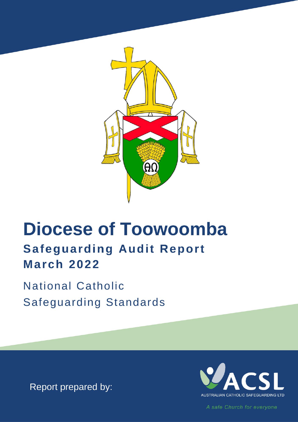

# **Diocese of Toowoomba Safeguarding Audit Report March 2022**

**National Catholic Safeguarding Standards** 

Report prepared by:



A safe Church for everyone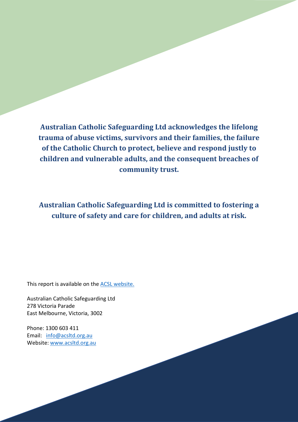**Australian Catholic Safeguarding Ltd acknowledges the lifelong trauma of abuse victims, survivors and their families, the failure of the Catholic Church to protect, believe and respond justly to children and vulnerable adults, and the consequent breaches of community trust.**

**Australian Catholic Safeguarding Ltd is committed to fostering a culture of safety and care for children, and adults at risk.** 

This report is available on the **ACSL** [website.](https://www.acsltd.org.au/about-us/publications-and-reports/)

Australian Catholic Safeguarding Ltd 278 Victoria Parade East Melbourne, Victoria, 3002

Phone: 1300 603 411 Email: [info@acsltd.org.au](mailto:info@acsltd.org.au) Website: [www.acsltd.org.au](http://www.acsltd.org.au/)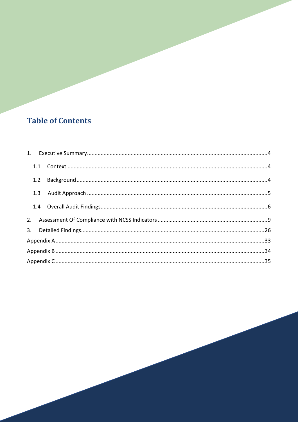# **Table of Contents**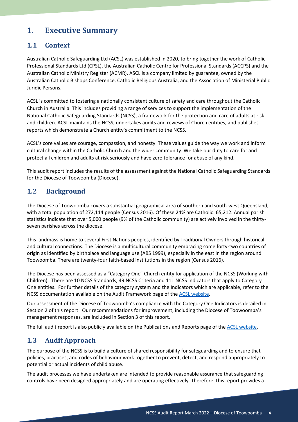# <span id="page-3-0"></span>**1**. **Executive Summary**

### <span id="page-3-1"></span>**1.1 Context**

<span id="page-3-2"></span>Australian Catholic Safeguarding Ltd (ACSL) was established in 2020, to bring together the work of Catholic Professional Standards Ltd (CPSL), the Australian Catholic Centre for Professional Standards (ACCPS) and the Australian Catholic Ministry Register (ACMR). ASCL is a company limited by guarantee, owned by the Australian Catholic Bishops Conference, Catholic Religious Australia, and the Association of Ministerial Public Juridic Persons.

ACSL is committed to fostering a nationally consistent culture of safety and care throughout the Catholic Church in Australia. This includes providing a range of services to support the implementation of the National Catholic Safeguarding Standards (NCSS), a framework for the protection and care of adults at risk and children. ACSL maintains the NCSS, undertakes audits and reviews of Church entities, and publishes reports which demonstrate a Church entity's commitment to the NCSS.

ACSL's core values are courage, compassion, and honesty. These values guide the way we work and inform cultural change within the Catholic Church and the wider community. We take our duty to care for and protect all children and adults at risk seriously and have zero tolerance for abuse of any kind.

This audit report includes the results of the assessment against the National Catholic Safeguarding Standards for the Diocese of Toowoomba (Diocese).

### **1.2 Background**

The Diocese of Toowoomba covers a substantial geographical area of southern and south-west Queensland, with a total population of 272,114 people (Census 2016). Of these 24% are Catholic: 65,212. Annual parish statistics indicate that over 5,000 people (9% of the Catholic community) are actively involved in the thirtyseven parishes across the diocese.

This landmass is home to several First Nations peoples, identified by Traditional Owners through historical and cultural connections. The Diocese is a multicultural community embracing some forty-two countries of origin as identified by birthplace and language use (ABS 1999), especially in the east in the region around Toowoomba. There are twenty-four faith-based institutions in the region (Census 2016).

The Diocese has been assessed as a "Category One" Church entity for application of the NCSS (Working with Children). There are 10 NCSS Standards, 49 NCSS Criteria and 111 NCSS Indicators that apply to Category One entities. For further details of the category system and the Indicators which are applicable, refer to the NCSS documentation available on the Audit Framework page of th[e ACSL website.](https://www.acsltd.org.au/services/review-and-audit/audit-framework/)

Our assessment of the Diocese of Toowoomba's compliance with the Category One Indicators is detailed in Section 2 of this report. Our recommendations for improvement, including the Diocese of Toowoomba's management responses, are included in Section 3 of this report.

The full audit report is also publicly available on the Publications and Reports page of the [ACSL website.](https://www.acsltd.org.au/about-us/publications-and-reports/)

### <span id="page-3-3"></span>**1.3 Audit Approach**

The purpose of the NCSS is to build a culture of shared responsibility for safeguarding and to ensure that policies, practices, and codes of behaviour work together to prevent, detect, and respond appropriately to potential or actual incidents of child abuse.

The audit processes we have undertaken are intended to provide reasonable assurance that safeguarding controls have been designed appropriately and are operating effectively. Therefore, this report provides a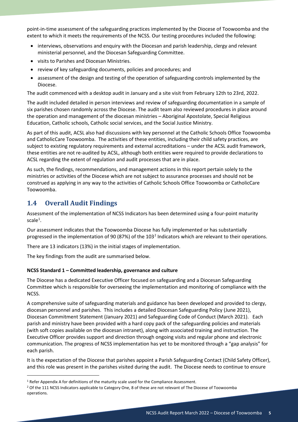point-in-time assessment of the safeguarding practices implemented by the Diocese of Toowoomba and the extent to which it meets the requirements of the NCSS. Our testing procedures included the following:

- interviews, observations and enquiry with the Diocesan and parish leadership, clergy and relevant ministerial personnel, and the Diocesan Safeguarding Committee.
- visits to Parishes and Diocesan Ministries.
- review of key safeguarding documents, policies and procedures; and
- assessment of the design and testing of the operation of safeguarding controls implemented by the Diocese.

The audit commenced with a desktop audit in January and a site visit from February 12th to 23rd, 2022.

The audit included detailed in person interviews and review of safeguarding documentation in a sample of six parishes chosen randomly across the Diocese. The audit team also reviewed procedures in place around the operation and management of the diocesan ministries – Aboriginal Apostolate, Special Religious Education, Catholic schools, Catholic social services, and the Social Justice Ministry.

As part of this audit, ACSL also had discussions with key personnel at the Catholic Schools Office Toowoomba and CatholicCare Toowoomba. The activities of these entities, including their child safety practices, are subject to existing regulatory requirements and external accreditations – under the ACSL audit framework, these entities are not re-audited by ACSL, although both entities were required to provide declarations to ACSL regarding the extent of regulation and audit processes that are in place.

As such, the findings, recommendations, and management actions in this report pertain solely to the ministries or activities of the Diocese which are not subject to assurance processes and should not be construed as applying in any way to the activities of Catholic Schools Office Toowoomba or CatholicCare Toowoomba.

# <span id="page-4-0"></span>**1.4 Overall Audit Findings**

Assessment of the implementation of NCSS Indicators has been determined using a four-point maturity  $scale<sup>1</sup>$  $scale<sup>1</sup>$  $scale<sup>1</sup>$ .

Our assessment indicates that the Toowoomba Diocese has fully implemented or has substantially progressed in the implementation of 90 (87%) of the 103<sup>[2](#page-4-2)</sup> Indicators which are relevant to their operations.

There are 13 indicators (13%) in the initial stages of implementation.

The key findings from the audit are summarised below.

#### **NCSS Standard 1 – Committed leadership, governance and culture**

The Diocese has a dedicated Executive Officer focused on safeguarding and a Diocesan Safeguarding Committee which is responsible for overseeing the implementation and monitoring of compliance with the NCSS.

A comprehensive suite of safeguarding materials and guidance has been developed and provided to clergy, diocesan personnel and parishes. This includes a detailed Diocesan Safeguarding Policy (June 2021), Diocesan Commitment Statement (January 2021) and Safeguarding Code of Conduct (March 2021). Each parish and ministry have been provided with a hard copy pack of the safeguarding policies and materials (with soft copies available on the diocesan intranet), along with associated training and instruction. The Executive Officer provides support and direction through ongoing visits and regular phone and electronic communication. The progress of NCSS implementation has yet to be monitored through a "gap analysis" for each parish.

It is the expectation of the Diocese that parishes appoint a Parish Safeguarding Contact (Child Safety Officer), and this role was present in the parishes visited during the audit. The Diocese needs to continue to ensure

<span id="page-4-1"></span><sup>1</sup> Refer Appendix A for definitions of the maturity scale used for the Compliance Assessment.

<span id="page-4-2"></span><sup>2</sup> Of the 111 NCSS Indicators applicable to Category One, 8 of these are not relevant of The Diocese of Toowoomba operations.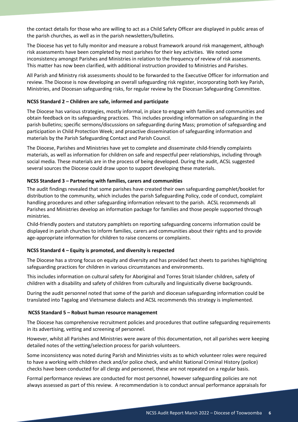the contact details for those who are willing to act as a Child Safety Officer are displayed in public areas of the parish churches, as well as in the parish newsletters/bulletins.

The Diocese has yet to fully monitor and measure a robust framework around risk management, although risk assessments have been completed by most parishes for their key activities. We noted some inconsistency amongst Parishes and Ministries in relation to the frequency of review of risk assessments. This matter has now been clarified, with additional instruction provided to Ministries and Parishes.

All Parish and Ministry risk assessments should to be forwarded to the Executive Officer for information and review. The Diocese is now developing an overall safeguarding risk register, incorporating both key Parish, Ministries, and Diocesan safeguarding risks, for regular review by the Diocesan Safeguarding Committee.

#### **NCSS Standard 2 – Children are safe, informed and participate**

The Diocese has various strategies, mostly informal, in place to engage with families and communities and obtain feedback on its safeguarding practices. This includes providing information on safeguarding in the parish bulletins; specific sermons/discussions on safeguarding during Mass; promotion of safeguarding and participation in Child Protection Week; and proactive dissemination of safeguarding information and materials by the Parish Safeguarding Contact and Parish Council.

The Diocese, Parishes and Ministries have yet to complete and disseminate child-friendly complaints materials, as well as information for children on safe and respectful peer relationships, including through social media. These materials are in the process of being developed. During the audit, ACSL suggested several sources the Diocese could draw upon to support developing these materials.

#### **NCSS Standard 3 – Partnering with families, carers and communities**

The audit findings revealed that some parishes have created their own safeguarding pamphlet/booklet for distribution to the community, which includes the parish Safeguarding Policy, code of conduct, complaint handling procedures and other safeguarding information relevant to the parish. ACSL recommends all Parishes and Ministries develop an information package for families and those people supported through ministries.

Child-friendly posters and statutory pamphlets on reporting safeguarding concerns information could be displayed in parish churches to inform families, carers and communities about their rights and to provide age-appropriate information for children to raise concerns or complaints.

#### **NCSS Standard 4 – Equity is promoted, and diversity is respected**

The Diocese has a strong focus on equity and diversity and has provided fact sheets to parishes highlighting safeguarding practices for children in various circumstances and environments.

This includes information on cultural safety for Aboriginal and Torres Strait Islander children, safety of children with a disability and safety of children from culturally and linguistically diverse backgrounds.

During the audit personnel noted that some of the parish and diocesan safeguarding information could be translated into Tagalog and Vietnamese dialects and ACSL recommends this strategy is implemented.

#### **NCSS Standard 5 – Robust human resource management**

The Diocese has comprehensive recruitment policies and procedures that outline safeguarding requirements in its advertising, vetting and screening of personnel.

However, whilst all Parishes and Ministries were aware of this documentation, not all parishes were keeping detailed notes of the vetting/selection process for parish volunteers.

Some inconsistency was noted during Parish and Ministries visits as to which volunteer roles were required to have a working with children check and/or police check, and whilst National Criminal History (police) checks have been conducted for all clergy and personnel, these are not repeated on a regular basis.

Formal performance reviews are conducted for most personnel, however safeguarding policies are not always assessed as part of this review. A recommendation is to conduct annual performance appraisals for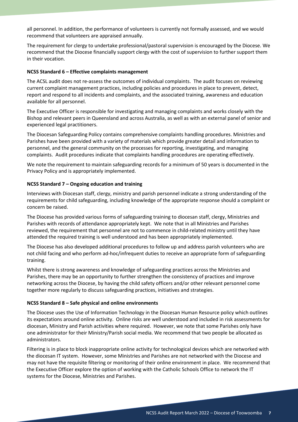all personnel. In addition, the performance of volunteers is currently not formally assessed, and we would recommend that volunteers are appraised annually.

The requirement for clergy to undertake professional/pastoral supervision is encouraged by the Diocese. We recommend that the Diocese financially support clergy with the cost of supervision to further support them in their vocation.

#### **NCSS Standard 6 – Effective complaints management**

The ACSL audit does not re-assess the outcomes of individual complaints. The audit focuses on reviewing current complaint management practices, including policies and procedures in place to prevent, detect, report and respond to all incidents and complaints, and the associated training, awareness and education available for all personnel.

The Executive Officer is responsible for investigating and managing complaints and works closely with the Bishop and relevant peers in Queensland and across Australia, as well as with an external panel of senior and experienced legal practitioners.

The Diocesan Safeguarding Policy contains comprehensive complaints handling procedures. Ministries and Parishes have been provided with a variety of materials which provide greater detail and information to personnel, and the general community on the processes for reporting, investigating, and managing complaints. Audit procedures indicate that complaints handling procedures are operating effectively.

We note the requirement to maintain safeguarding records for a minimum of 50 years is documented in the Privacy Policy and is appropriately implemented.

#### **NCSS Standard 7 – Ongoing education and training**

Interviews with Diocesan staff, clergy, ministry and parish personnel indicate a strong understanding of the requirements for child safeguarding, including knowledge of the appropriate response should a complaint or concern be raised.

The Diocese has provided various forms of safeguarding training to diocesan staff, clergy, Ministries and Parishes with records of attendance appropriately kept. We note that in all Ministries and Parishes reviewed, the requirement that personnel are not to commence in child-related ministry until they have attended the required training is well understood and has been appropriately implemented.

The Diocese has also developed additional procedures to follow up and address parish volunteers who are not child facing and who perform ad-hoc/infrequent duties to receive an appropriate form of safeguarding training.

Whilst there is strong awareness and knowledge of safeguarding practices across the Ministries and Parishes, there may be an opportunity to further strengthen the consistency of practices and improve networking across the Diocese, by having the child safety officers and/or other relevant personnel come together more regularly to discuss safeguarding practices, initiatives and strategies.

#### **NCSS Standard 8 – Safe physical and online environments**

The Diocese uses the Use of Information Technology in the Diocesan Human Resource policy which outlines its expectations around online activity. Online risks are well understood and included in risk assessments for diocesan, Ministry and Parish activities where required. However, we note that some Parishes only have one administrator for their Ministry/Parish social media. We recommend that two people be allocated as administrators.

Filtering is in place to block inappropriate online activity for technological devices which are networked with the diocesan IT system. However, some Ministries and Parishes are not networked with the Diocese and may not have the requisite filtering or monitoring of their online environment in place. We recommend that the Executive Officer explore the option of working with the Catholic Schools Office to network the IT systems for the Diocese, Ministries and Parishes.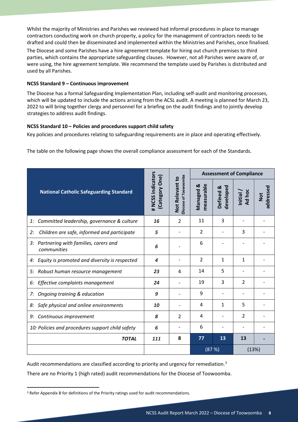Whilst the majority of Ministries and Parishes we reviewed had informal procedures in place to manage contractors conducting work on church property, a policy for the management of contractors needs to be drafted and could then be disseminated and implemented within the Ministries and Parishes, once finalised.

The Diocese and some Parishes have a hire agreement template for hiring out church premises to third parties, which contains the appropriate safeguarding clauses. However, not all Parishes were aware of, or were using, the hire agreement template. We recommend the template used by Parishes is distributed and used by all Parishes.

#### **NCSS Standard 9 – Continuous improvement**

The Diocese has a formal Safeguarding Implementation Plan, including self-audit and monitoring processes, which will be updated to include the actions arising from the ACSL audit. A meeting is planned for March 23, 2022 to will bring together clergy and personnel for a briefing on the audit findings and to jointly develop strategies to address audit findings.

#### **NCSS Standard 10 – Policies and procedures support child safety**

Key policies and procedures relating to safeguarding requirements are in place and operating effectively.

The table on the following page shows the overall compliance assessment for each of the Standards.

|                                                        |                                    |                                                |                                    | <b>Assessment of Compliance</b> |                                            |                         |  |
|--------------------------------------------------------|------------------------------------|------------------------------------------------|------------------------------------|---------------------------------|--------------------------------------------|-------------------------|--|
| <b>National Catholic Safeguarding Standard</b>         | # NCSS indicators<br>Category One) | <b>Diocese of Toowoomba</b><br>Not Relevant to | measurable<br><b>Managed &amp;</b> | developed<br>Defined &          | Ad hoc<br>Initial $\overline{\phantom{a}}$ | addressed<br><b>Not</b> |  |
| Committed leadership, governance & culture<br>1:       | 16                                 | $\mathcal{L}$                                  | 11                                 | 3                               |                                            |                         |  |
| Children are safe, informed and participate<br>2:      | 5                                  |                                                | 2                                  |                                 | 3                                          |                         |  |
| 3: Partnering with families, carers and<br>communities | 6                                  |                                                | 6                                  |                                 |                                            |                         |  |
| Equity is promoted and diversity is respected<br>4:    | 4                                  |                                                | $\overline{2}$                     | $\mathbf{1}$                    | $\mathbf{1}$                               |                         |  |
| Robust human resource management<br>5:                 | 23                                 | 4                                              | 14                                 | 5                               |                                            |                         |  |
| Effective complaints management<br>6:                  | 24                                 |                                                | 19                                 | 3                               | $\overline{2}$                             |                         |  |
| Ongoing training & education<br>7:                     | 9                                  |                                                | 9                                  |                                 |                                            |                         |  |
| Safe physical and online environments<br>8:            | 10                                 |                                                | 4                                  | $\mathbf{1}$                    | 5                                          |                         |  |
| Continuous improvement<br>9:                           | 8                                  | 2                                              | 4                                  |                                 | 2                                          |                         |  |
| 10: Policies and procedures support child safety       | 6                                  |                                                | 6                                  |                                 |                                            |                         |  |
| <b>TOTAL</b>                                           | 111                                | 8                                              | 77                                 | 13                              | 13                                         |                         |  |
|                                                        |                                    |                                                |                                    | (87%)                           | (13%)                                      |                         |  |

Audit recommendations are classified according to priority and urgency for remediation.<sup>[3](#page-7-0)</sup>

There are no Priority 1 (high rated) audit recommendations for the Diocese of Toowoomba.

<span id="page-7-0"></span><sup>&</sup>lt;sup>3</sup> Refer Appendix B for definitions of the Priority ratings used for audit recommendations.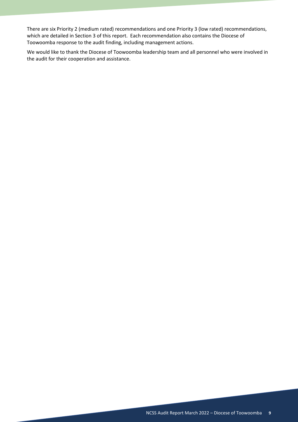There are six Priority 2 (medium rated) recommendations and one Priority 3 (low rated) recommendations, which are detailed in Section 3 of this report. Each recommendation also contains the Diocese of Toowoomba response to the audit finding, including management actions.

We would like to thank the Diocese of Toowoomba leadership team and all personnel who were involved in the audit for their cooperation and assistance.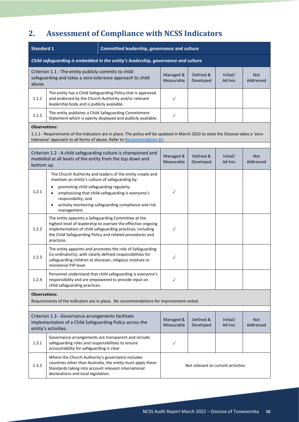# <span id="page-9-0"></span>**2. Assessment of Compliance with NCSS Indicators**

| <b>Standard 1</b>                                                                 |                                                                                                                                                                                                                                     | Committed leadership, governance and culture                                                                                                                                          |                         |                        |                                    |                         |
|-----------------------------------------------------------------------------------|-------------------------------------------------------------------------------------------------------------------------------------------------------------------------------------------------------------------------------------|---------------------------------------------------------------------------------------------------------------------------------------------------------------------------------------|-------------------------|------------------------|------------------------------------|-------------------------|
| Child safeguarding is embedded in the entity's leadership, governance and culture |                                                                                                                                                                                                                                     |                                                                                                                                                                                       |                         |                        |                                    |                         |
| abuse.                                                                            | Criterion 1.1 - The entity publicly commits to child<br>safeguarding and takes a zero-tolerance approach to child                                                                                                                   |                                                                                                                                                                                       | Managed &<br>Measurable | Defined &<br>Developed | Initial/<br>Ad-hoc                 | <b>Not</b><br>Addressed |
| 1.1.1                                                                             | leadership body and is publicly available.                                                                                                                                                                                          | The entity has a Child Safeguarding Policy that is approved<br>and endorsed by the Church Authority and/or relevant                                                                   | $\checkmark$            |                        |                                    |                         |
| 1.1.2                                                                             |                                                                                                                                                                                                                                     | The entity publishes a Child Safeguarding Commitment<br>Statement which is openly displayed and publicly available.                                                                   | $\checkmark$            |                        |                                    |                         |
|                                                                                   | <b>Observations:</b><br>1.1.1 - Requirements of the Indicators are in place. The policy will be updated in March 2022 to state the Diocese takes a 'zero-<br>tolerance' approach to all forms of abuse. Refer to Recommendation #1. |                                                                                                                                                                                       |                         |                        |                                    |                         |
| bottom up.                                                                        | modelled at all levels of the entity from the top down and                                                                                                                                                                          | Criterion 1.2 - A child safeguarding culture is championed and                                                                                                                        | Managed &<br>Measurable | Defined &<br>Developed | Initial/<br>Ad-hoc                 | <b>Not</b><br>Addressed |
| 1.2.1                                                                             | maintain an entity's culture of safeguarding by:<br>promoting child safeguarding regularly;<br>$\bullet$<br>responsibility; and<br>management.                                                                                      | The Church Authority and leaders of the entity create and<br>emphasising that child-safeguarding is everyone's<br>actively monitoring safeguarding compliance and risk                | $\checkmark$            |                        |                                    |                         |
| 1.2.2                                                                             | The entity appoints a Safeguarding Committee at the<br>practices.                                                                                                                                                                   | highest level of leadership to oversee the effective ongoing<br>implementation of child safeguarding practices, including<br>the Child Safeguarding Policy and related procedures and | $\checkmark$            |                        |                                    |                         |
| 1.2.3                                                                             | ministerial PJP level.                                                                                                                                                                                                              | The entity appoints and promotes the role of Safeguarding<br>Co-ordinator(s), with clearly defined responsibilities for<br>safeguarding children at diocesan, religious institute or  | $\checkmark$            |                        |                                    |                         |
| 1.2.4                                                                             | child safeguarding practices.                                                                                                                                                                                                       | Personnel understand that child safeguarding is everyone's<br>responsibility and are empowered to provide input on                                                                    |                         |                        |                                    |                         |
| <b>Observations:</b>                                                              |                                                                                                                                                                                                                                     | Requirements of the Indicators are in place. No recommendations for improvement noted.                                                                                                |                         |                        |                                    |                         |
|                                                                                   |                                                                                                                                                                                                                                     |                                                                                                                                                                                       |                         |                        |                                    |                         |
|                                                                                   | Criterion 1.3 - Governance arrangements facilitate<br>implementation of a Child Safeguarding Policy across the<br>entity's activities.                                                                                              |                                                                                                                                                                                       | Managed &<br>Measurable | Defined &<br>Developed | Initial/<br>Ad-hoc                 | <b>Not</b><br>Addressed |
| 1.3.1                                                                             | safeguarding roles and responsibilities to ensure<br>accountability for safeguarding is clear.                                                                                                                                      | Governance arrangements are transparent and include                                                                                                                                   | ✓                       |                        |                                    |                         |
| 1.3.2                                                                             | Where the Church Authority's governance includes<br>Standards taking into account relevant international<br>declarations and local legislation.                                                                                     | countries other than Australia, the entity must apply these                                                                                                                           |                         |                        | Not relevant to current activities |                         |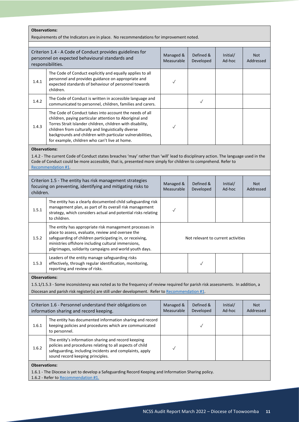| <b>Observations:</b><br>Requirements of the Indicators are in place. No recommendations for improvement noted.                                                                                                                                                                                           |                                                                                                                                                                                                                                                                                                                                                       |                                    |                        |                    |                         |
|----------------------------------------------------------------------------------------------------------------------------------------------------------------------------------------------------------------------------------------------------------------------------------------------------------|-------------------------------------------------------------------------------------------------------------------------------------------------------------------------------------------------------------------------------------------------------------------------------------------------------------------------------------------------------|------------------------------------|------------------------|--------------------|-------------------------|
|                                                                                                                                                                                                                                                                                                          | Criterion 1.4 - A Code of Conduct provides guidelines for<br>personnel on expected behavioural standards and<br>responsibilities.                                                                                                                                                                                                                     | Managed &<br>Measurable            | Defined &<br>Developed | Initial/<br>Ad-hoc | <b>Not</b><br>Addressed |
| 1.4.1                                                                                                                                                                                                                                                                                                    | The Code of Conduct explicitly and equally applies to all<br>personnel and provides guidance on appropriate and<br>expected standards of behaviour of personnel towards<br>children.                                                                                                                                                                  | $\checkmark$                       |                        |                    |                         |
| 1.4.2                                                                                                                                                                                                                                                                                                    | The Code of Conduct is written in accessible language and<br>communicated to personnel, children, families and carers.                                                                                                                                                                                                                                |                                    | $\checkmark$           |                    |                         |
| 1.4.3                                                                                                                                                                                                                                                                                                    | The Code of Conduct takes into account the needs of all<br>children, paying particular attention to Aboriginal and<br>Torres Strait Islander children, children with disability,<br>children from culturally and linguistically diverse<br>backgrounds and children with particular vulnerabilities,<br>for example, children who can't live at home. | $\checkmark$                       |                        |                    |                         |
| <b>Observations:</b><br>1.4.2 - The current Code of Conduct states breaches 'may' rather than 'will' lead to disciplinary action. The language used in the<br>Code of Conduct could be more accessible, that is, presented more simply for children to comprehend. Refer to<br><b>Recommendation #1.</b> |                                                                                                                                                                                                                                                                                                                                                       |                                    |                        |                    |                         |
| children.                                                                                                                                                                                                                                                                                                | Criterion 1.5 - The entity has risk management strategies<br>focusing on preventing, identifying and mitigating risks to                                                                                                                                                                                                                              | Managed &<br>Measurable            | Defined &<br>Developed | Initial/<br>Ad-hoc | <b>Not</b><br>Addressed |
| 1.5.1                                                                                                                                                                                                                                                                                                    | The entity has a clearly documented child safeguarding risk<br>management plan, as part of its overall risk management<br>strategy, which considers actual and potential risks relating<br>to children.                                                                                                                                               | $\checkmark$                       |                        |                    |                         |
| 1.5.2                                                                                                                                                                                                                                                                                                    | The entity has appropriate risk management processes in<br>place to assess, evaluate, review and oversee the<br>safeguarding of children participating in, or receiving,<br>ministries offshore including cultural immersions,<br>pilgrimages, solidarity campaigns and world youth days.                                                             | Not relevant to current activities |                        |                    |                         |
| 1.5.3                                                                                                                                                                                                                                                                                                    | Leaders of the entity manage safeguarding risks<br>effectively, through regular identification, monitoring,<br>reporting and review of risks.                                                                                                                                                                                                         |                                    | $\checkmark$           |                    |                         |
| <b>Observations:</b>                                                                                                                                                                                                                                                                                     | 1.5.1/1.5.3 - Some inconsistency was noted as to the frequency of review required for parish risk assessments. In addition, a<br>Diocesan and parish risk register(s) are still under development. Refer to Recommendation #1.                                                                                                                        |                                    |                        |                    |                         |
|                                                                                                                                                                                                                                                                                                          | Criterion 1.6 - Personnel understand their obligations on<br>information sharing and record keeping.                                                                                                                                                                                                                                                  | Managed &<br>Measurable            | Defined &<br>Developed | Initial/<br>Ad-hoc | <b>Not</b><br>Addressed |
| 1.6.1                                                                                                                                                                                                                                                                                                    | The entity has documented information sharing and record<br>keeping policies and procedures which are communicated<br>to personnel.                                                                                                                                                                                                                   |                                    | $\checkmark$           |                    |                         |
| 1.6.2                                                                                                                                                                                                                                                                                                    | The entity's information sharing and record keeping<br>policies and procedures relating to all aspects of child<br>safeguarding, including incidents and complaints, apply<br>sound record keeping principles.                                                                                                                                        | $\checkmark$                       |                        |                    |                         |
|                                                                                                                                                                                                                                                                                                          | <b>Observations:</b><br>1.6.1 - The Diocese is yet to develop a Safeguarding Record Keeping and Information Sharing policy.<br>1.6.2 - Refer to Recommendation #1.                                                                                                                                                                                    |                                    |                        |                    |                         |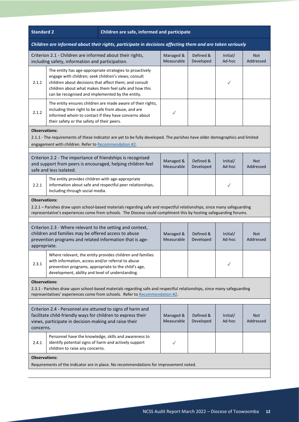| <b>Standard 2</b>                                                                                                                                                                                                                                                           | Children are safe, informed and participate                                                                                                                   |                                                                                                                                                                                                       |                         |                         |                    |                         |  |
|-----------------------------------------------------------------------------------------------------------------------------------------------------------------------------------------------------------------------------------------------------------------------------|---------------------------------------------------------------------------------------------------------------------------------------------------------------|-------------------------------------------------------------------------------------------------------------------------------------------------------------------------------------------------------|-------------------------|-------------------------|--------------------|-------------------------|--|
|                                                                                                                                                                                                                                                                             | Children are informed about their rights, participate in decisions affecting them and are taken seriously                                                     |                                                                                                                                                                                                       |                         |                         |                    |                         |  |
|                                                                                                                                                                                                                                                                             | Criterion 2.1 - Children are informed about their rights,<br>including safety, information and participation.                                                 |                                                                                                                                                                                                       | Managed &<br>Measurable | Defined &<br>Developed  | Initial/<br>Ad-hoc | <b>Not</b><br>Addressed |  |
| 2.1.1                                                                                                                                                                                                                                                                       | engage with children; seek children's views; consult<br>can be recognised and implemented by the entity.                                                      | The entity has age-appropriate strategies to proactively<br>children about decisions that affect them; and consult<br>children about what makes them feel safe and how this                           |                         |                         | $\checkmark$       |                         |  |
| 2.1.2                                                                                                                                                                                                                                                                       | including their right to be safe from abuse, and are<br>their safety or the safety of their peers.                                                            | The entity ensures children are made aware of their rights,<br>informed whom to contact if they have concerns about                                                                                   | $\checkmark$            |                         |                    |                         |  |
| <b>Observations:</b><br>2.1.1 - The requirements of these Indicator are yet to be fully developed. The parishes have older demographics and limited<br>engagement with children. Refer to Recommendation #2.                                                                |                                                                                                                                                               |                                                                                                                                                                                                       |                         |                         |                    |                         |  |
| Criterion 2.2 - The importance of friendships is recognised<br>Defined &<br>Managed &<br>Initial/<br><b>Not</b><br>and support from peers is encouraged, helping children feel<br>Measurable<br>Ad-hoc<br>Developed<br>Addressed<br>safe and less isolated.                 |                                                                                                                                                               |                                                                                                                                                                                                       |                         |                         |                    |                         |  |
| 2.2.1                                                                                                                                                                                                                                                                       | The entity provides children with age-appropriate<br>including through social media.                                                                          | information about safe and respectful peer relationships,                                                                                                                                             |                         |                         | $\checkmark$       |                         |  |
| <b>Observations:</b>                                                                                                                                                                                                                                                        |                                                                                                                                                               |                                                                                                                                                                                                       |                         |                         |                    |                         |  |
| 2.2.1 - Parishes draw upon school-based materials regarding safe and respectful relationships, since many safeguarding<br>representative's experiences come from schools. The Diocese could compliment this by hosting safeguarding forums.                                 |                                                                                                                                                               |                                                                                                                                                                                                       |                         |                         |                    |                         |  |
| Criterion 2.3 - Where relevant to the setting and context,<br>children and families may be offered access to abuse<br>Managed &<br>Defined &<br>Initial/<br>Ad-hoc<br>prevention programs and related information that is age-<br>Measurable<br>Developed<br>appropriate.   |                                                                                                                                                               |                                                                                                                                                                                                       |                         | <b>Not</b><br>Addressed |                    |                         |  |
| 2.3.1                                                                                                                                                                                                                                                                       | with information, access and/or referral to abuse<br>prevention programs, appropriate to the child's age,<br>development, ability and level of understanding. | Where relevant, the entity provides children and families                                                                                                                                             |                         |                         |                    |                         |  |
| <b>Observations:</b>                                                                                                                                                                                                                                                        |                                                                                                                                                               | 2.3.1 - Parishes draw upon school-based materials regarding safe and respectful relationships, since many safeguarding<br>representatives' experiences come from schools. Refer to Recommendation #2. |                         |                         |                    |                         |  |
| Criterion 2.4 - Personnel are attuned to signs of harm and<br>facilitate child-friendly ways for children to express their<br>Managed &<br>Defined &<br>Initial/<br>Ad-hoc<br>views, participate in decision-making and raise their<br>Measurable<br>Developed<br>concerns. |                                                                                                                                                               |                                                                                                                                                                                                       |                         | <b>Not</b><br>Addressed |                    |                         |  |
| 2.4.1                                                                                                                                                                                                                                                                       | identify potential signs of harm and actively support<br>children to raise any concerns.                                                                      | Personnel have the knowledge, skills and awareness to                                                                                                                                                 | $\checkmark$            |                         |                    |                         |  |
| <b>Observations:</b>                                                                                                                                                                                                                                                        |                                                                                                                                                               | Requirements of the Indicator are in place. No recommendations for improvement noted.                                                                                                                 |                         |                         |                    |                         |  |
|                                                                                                                                                                                                                                                                             |                                                                                                                                                               |                                                                                                                                                                                                       |                         |                         |                    |                         |  |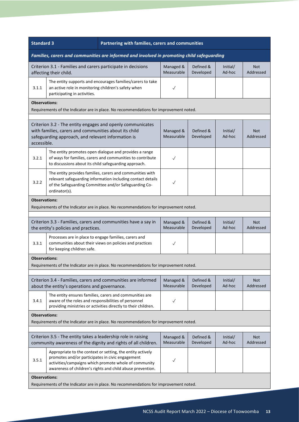| <b>Standard 3</b>                                                                                                                                                                                                                                                   |                                                                                                               | Partnering with families, carers and communities                                                                                                                                  |                         |                        |                    |                         |  |
|---------------------------------------------------------------------------------------------------------------------------------------------------------------------------------------------------------------------------------------------------------------------|---------------------------------------------------------------------------------------------------------------|-----------------------------------------------------------------------------------------------------------------------------------------------------------------------------------|-------------------------|------------------------|--------------------|-------------------------|--|
|                                                                                                                                                                                                                                                                     | Families, carers and communities are informed and involved in promoting child safeguarding                    |                                                                                                                                                                                   |                         |                        |                    |                         |  |
| Criterion 3.1 - Families and carers participate in decisions<br>Managed &<br>Defined &<br>Initial/<br>Measurable<br>Developed<br>Ad-hoc<br>affecting their child.                                                                                                   |                                                                                                               |                                                                                                                                                                                   |                         |                        | Not.<br>Addressed  |                         |  |
| The entity supports and encourages families/carers to take<br>an active role in monitoring children's safety when<br>3.1.1<br>participating in activities.                                                                                                          |                                                                                                               |                                                                                                                                                                                   | $\checkmark$            |                        |                    |                         |  |
|                                                                                                                                                                                                                                                                     | <b>Observations:</b><br>Requirements of the Indicator are in place. No recommendations for improvement noted. |                                                                                                                                                                                   |                         |                        |                    |                         |  |
| Criterion 3.2 - The entity engages and openly communicates<br>with families, carers and communities about its child<br>Defined &<br>Managed &<br>Initial/<br>Measurable<br>Developed<br>Ad-hoc<br>safeguarding approach, and relevant information is<br>accessible. |                                                                                                               |                                                                                                                                                                                   |                         |                        | Not.<br>Addressed  |                         |  |
| 3.2.1                                                                                                                                                                                                                                                               | to discussions about its child safeguarding approach.                                                         | The entity promotes open dialogue and provides a range<br>of ways for families, carers and communities to contribute                                                              | $\checkmark$            |                        |                    |                         |  |
| 3.2.2                                                                                                                                                                                                                                                               | ordinator(s).                                                                                                 | The entity provides families, carers and communities with<br>relevant safeguarding information including contact details<br>of the Safeguarding Committee and/or Safeguarding Co- | $\checkmark$            |                        |                    |                         |  |
| <b>Observations:</b>                                                                                                                                                                                                                                                |                                                                                                               | Requirements of the Indicator are in place. No recommendations for improvement noted.                                                                                             |                         |                        |                    |                         |  |
|                                                                                                                                                                                                                                                                     | the entity's policies and practices.                                                                          | Criterion 3.3 - Families, carers and communities have a say in                                                                                                                    | Managed &<br>Measurable | Defined &<br>Developed | Initial/<br>Ad-hoc | <b>Not</b><br>Addressed |  |
| 3.3.1                                                                                                                                                                                                                                                               | Processes are in place to engage families, carers and<br>for keeping children safe.                           | communities about their views on policies and practices                                                                                                                           | $\checkmark$            |                        |                    |                         |  |
| <b>Observations:</b>                                                                                                                                                                                                                                                |                                                                                                               | Requirements of the Indicator are in place. No recommendations for improvement noted.                                                                                             |                         |                        |                    |                         |  |
|                                                                                                                                                                                                                                                                     |                                                                                                               |                                                                                                                                                                                   |                         |                        |                    |                         |  |
|                                                                                                                                                                                                                                                                     | about the entity's operations and governance.                                                                 | Criterion 3.4 - Families, carers and communities are informed                                                                                                                     | Managed &<br>Measurable | Defined &<br>Developed | Initial/<br>Ad-hoc | <b>Not</b><br>Addressed |  |
| 3.4.1                                                                                                                                                                                                                                                               | aware of the roles and responsibilities of personnel                                                          | The entity ensures families, carers and communities are<br>providing ministries or activities directly to their children.                                                         | $\checkmark$            |                        |                    |                         |  |
| <b>Observations:</b>                                                                                                                                                                                                                                                |                                                                                                               | Requirements of the Indicator are in place. No recommendations for improvement noted.                                                                                             |                         |                        |                    |                         |  |
|                                                                                                                                                                                                                                                                     | Criterion 3.5 - The entity takes a leadership role in raising                                                 | community awareness of the dignity and rights of all children.                                                                                                                    | Managed &<br>Measurable | Defined &<br>Developed | Initial/<br>Ad-hoc | Not<br>Addressed        |  |
| 3.5.1                                                                                                                                                                                                                                                               | promotes and/or participates in civic engagement                                                              | Appropriate to the context or setting, the entity actively<br>activities/campaigns which promote whole of community<br>awareness of children's rights and child abuse prevention. | $\checkmark$            |                        |                    |                         |  |
| <b>Observations:</b>                                                                                                                                                                                                                                                |                                                                                                               | Requirements of the Indicator are in place. No recommendations for improvement noted.                                                                                             |                         |                        |                    |                         |  |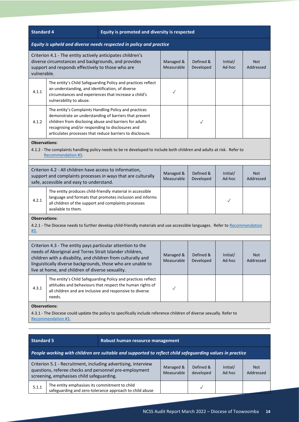| Equity is upheld and diverse needs respected in policy and practice<br>Criterion 4.1 - The entity actively anticipates children's<br>diverse circumstances and backgrounds, and provides<br>Managed &<br>Defined &<br>Initial/<br><b>Not</b><br>support and responds effectively to those who are<br>Measurable<br>Developed<br>Ad-hoc<br>Addressed<br>vulnerable.<br>The entity's Child Safeguarding Policy and practices reflect<br>an understanding, and identification, of diverse<br>4.1.1<br>$\checkmark$<br>circumstances and experiences that increase a child's<br>vulnerability to abuse.<br>The entity's Complaints Handling Policy and practices<br>demonstrate an understanding of barriers that prevent<br>children from disclosing abuse and barriers for adults<br>4.1.2<br>$\checkmark$<br>recognising and/or responding to disclosures and<br>articulates processes that reduce barriers to disclosure.<br><b>Observations:</b><br>4.1.2 - The complaints handling policy needs to be re developed to include both children and adults at risk. Refer to<br>Recommendation #3.<br>Criterion 4.2 - All children have access to information,<br>Defined &<br>Managed &<br>Initial/<br><b>Not</b><br>support and complaints processes in ways that are culturally<br>Measurable<br>Ad-hoc<br>Developed<br>Addressed<br>safe, accessible and easy to understand. |  |
|--------------------------------------------------------------------------------------------------------------------------------------------------------------------------------------------------------------------------------------------------------------------------------------------------------------------------------------------------------------------------------------------------------------------------------------------------------------------------------------------------------------------------------------------------------------------------------------------------------------------------------------------------------------------------------------------------------------------------------------------------------------------------------------------------------------------------------------------------------------------------------------------------------------------------------------------------------------------------------------------------------------------------------------------------------------------------------------------------------------------------------------------------------------------------------------------------------------------------------------------------------------------------------------------------------------------------------------------------------------------------------|--|
|                                                                                                                                                                                                                                                                                                                                                                                                                                                                                                                                                                                                                                                                                                                                                                                                                                                                                                                                                                                                                                                                                                                                                                                                                                                                                                                                                                                |  |
|                                                                                                                                                                                                                                                                                                                                                                                                                                                                                                                                                                                                                                                                                                                                                                                                                                                                                                                                                                                                                                                                                                                                                                                                                                                                                                                                                                                |  |
|                                                                                                                                                                                                                                                                                                                                                                                                                                                                                                                                                                                                                                                                                                                                                                                                                                                                                                                                                                                                                                                                                                                                                                                                                                                                                                                                                                                |  |
|                                                                                                                                                                                                                                                                                                                                                                                                                                                                                                                                                                                                                                                                                                                                                                                                                                                                                                                                                                                                                                                                                                                                                                                                                                                                                                                                                                                |  |
|                                                                                                                                                                                                                                                                                                                                                                                                                                                                                                                                                                                                                                                                                                                                                                                                                                                                                                                                                                                                                                                                                                                                                                                                                                                                                                                                                                                |  |
|                                                                                                                                                                                                                                                                                                                                                                                                                                                                                                                                                                                                                                                                                                                                                                                                                                                                                                                                                                                                                                                                                                                                                                                                                                                                                                                                                                                |  |
|                                                                                                                                                                                                                                                                                                                                                                                                                                                                                                                                                                                                                                                                                                                                                                                                                                                                                                                                                                                                                                                                                                                                                                                                                                                                                                                                                                                |  |
| The entity produces child-friendly material in accessible<br>language and formats that promotes inclusion and informs<br>4.2.1<br>$\checkmark$<br>all children of the support and complaints processes<br>available to them.                                                                                                                                                                                                                                                                                                                                                                                                                                                                                                                                                                                                                                                                                                                                                                                                                                                                                                                                                                                                                                                                                                                                                   |  |
| <b>Observations:</b><br>4.2.1 - The Diocese needs to further develop child-friendly materials and use accessible languages. Refer to Recommendation<br>#3.                                                                                                                                                                                                                                                                                                                                                                                                                                                                                                                                                                                                                                                                                                                                                                                                                                                                                                                                                                                                                                                                                                                                                                                                                     |  |
|                                                                                                                                                                                                                                                                                                                                                                                                                                                                                                                                                                                                                                                                                                                                                                                                                                                                                                                                                                                                                                                                                                                                                                                                                                                                                                                                                                                |  |
| Criterion 4.3 - The entity pays particular attention to the<br>needs of Aboriginal and Torres Strait Islander children,<br>Defined &<br>Managed &<br>Initial/<br><b>Not</b><br>children with a disability, and children from culturally and<br>Measurable<br>Developed<br>Ad-hoc<br>Addressed<br>linguistically diverse backgrounds, those who are unable to<br>live at home, and children of diverse sexuality.                                                                                                                                                                                                                                                                                                                                                                                                                                                                                                                                                                                                                                                                                                                                                                                                                                                                                                                                                               |  |
| The entity's Child Safeguarding Policy and practices reflect<br>attitudes and behaviours that respect the human rights of<br>4.3.1<br>$\checkmark$<br>all children and are inclusive and responsive to diverse<br>needs.                                                                                                                                                                                                                                                                                                                                                                                                                                                                                                                                                                                                                                                                                                                                                                                                                                                                                                                                                                                                                                                                                                                                                       |  |
| <b>Observations:</b><br>4.3.1 - The Diocese could update the policy to specifically include reference children of diverse sexually. Refer to<br>Recommendation #3.                                                                                                                                                                                                                                                                                                                                                                                                                                                                                                                                                                                                                                                                                                                                                                                                                                                                                                                                                                                                                                                                                                                                                                                                             |  |
|                                                                                                                                                                                                                                                                                                                                                                                                                                                                                                                                                                                                                                                                                                                                                                                                                                                                                                                                                                                                                                                                                                                                                                                                                                                                                                                                                                                |  |
| <b>Standard 5</b><br>Robust human resource management                                                                                                                                                                                                                                                                                                                                                                                                                                                                                                                                                                                                                                                                                                                                                                                                                                                                                                                                                                                                                                                                                                                                                                                                                                                                                                                          |  |
| People working with children are suitable and supported to reflect child safeguarding values in practice                                                                                                                                                                                                                                                                                                                                                                                                                                                                                                                                                                                                                                                                                                                                                                                                                                                                                                                                                                                                                                                                                                                                                                                                                                                                       |  |
| Criterion 5.1 - Recruitment, including advertising, interview<br>Defined &<br>Managed &<br>Initial/<br><b>Not</b><br>questions, referee checks and personnel pre-employment<br>Measurable<br>Ad-hoc<br>developed<br>Addressed<br>screening, emphasises child safeguarding.                                                                                                                                                                                                                                                                                                                                                                                                                                                                                                                                                                                                                                                                                                                                                                                                                                                                                                                                                                                                                                                                                                     |  |
| The entity emphasises its commitment to child<br>5.1.1<br>$\checkmark$<br>safeguarding and zero-tolerance approach to child abuse                                                                                                                                                                                                                                                                                                                                                                                                                                                                                                                                                                                                                                                                                                                                                                                                                                                                                                                                                                                                                                                                                                                                                                                                                                              |  |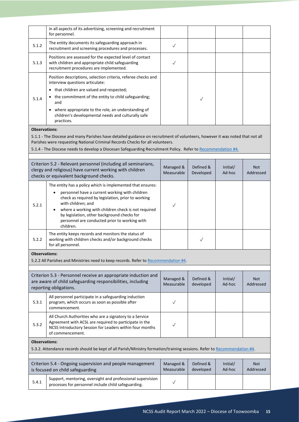|                      | in all aspects of its advertising, screening and recruitment<br>for personnel.                                                                                                                                                                                                                                                                               |                         |                        |                    |                         |
|----------------------|--------------------------------------------------------------------------------------------------------------------------------------------------------------------------------------------------------------------------------------------------------------------------------------------------------------------------------------------------------------|-------------------------|------------------------|--------------------|-------------------------|
| 5.1.2                | The entity documents its safeguarding approach in<br>recruitment and screening procedures and processes.                                                                                                                                                                                                                                                     | $\checkmark$            |                        |                    |                         |
| 5.1.3                | Positions are assessed for the expected level of contact<br>with children and appropriate child safeguarding<br>recruitment procedures are implemented.                                                                                                                                                                                                      | ✓                       |                        |                    |                         |
| 5.1.4                | Position descriptions, selection criteria, referee checks and<br>interview questions articulate:<br>• that children are valued and respected;<br>• the commitment of the entity to child safeguarding;<br>and<br>where appropriate to the role, an understanding of<br>children's developmental needs and culturally safe<br>practices.                      |                         | $\checkmark$           |                    |                         |
| <b>Observations:</b> |                                                                                                                                                                                                                                                                                                                                                              |                         |                        |                    |                         |
|                      | 5.1.1 - The Diocese and many Parishes have detailed guidance on recruitment of volunteers, however it was noted that not all<br>Parishes were requesting National Criminal Records Checks for all volunteers.<br>5.1.4 - The Diocese needs to develop a Diocesan Safeguarding Recruitment Policy. Refer to Recommendation #4.                                |                         |                        |                    |                         |
|                      | Criterion 5.2 - Relevant personnel (including all seminarians,<br>clergy and religious) have current working with children<br>checks or equivalent background checks.                                                                                                                                                                                        | Managed &<br>Measurable | Defined &<br>Developed | Initial/<br>Ad-hoc | <b>Not</b><br>Addressed |
| 5.2.1                | The entity has a policy which is implemented that ensures:<br>personnel have a current working with children<br>check as required by legislation, prior to working<br>with children; and<br>where a working with children check is not required<br>by legislation, other background checks for<br>personnel are conducted prior to working with<br>children. | ✓                       |                        |                    |                         |
| 5.2.2                | The entity keeps records and monitors the status of<br>working with children checks and/or background checks<br>for all personnel.                                                                                                                                                                                                                           |                         | $\checkmark$           |                    |                         |
| <b>Observations:</b> |                                                                                                                                                                                                                                                                                                                                                              |                         |                        |                    |                         |
|                      | 5.2.2 All Parishes and Ministries need to keep records. Refer to Recommendation #4                                                                                                                                                                                                                                                                           |                         |                        |                    |                         |
|                      | Criterion 5.3 - Personnel receive an appropriate induction and<br>are aware of child safeguarding responsibilities, including<br>reporting obligations.                                                                                                                                                                                                      | Managed &<br>Measurable | Defined &<br>developed | Initial/<br>Ad-hoc | <b>Not</b><br>Addressed |
| 5.3.1                | All personnel participate in a safeguarding induction<br>program, which occurs as soon as possible after<br>commencement.                                                                                                                                                                                                                                    | $\checkmark$            |                        |                    |                         |
| 5.3.2                | All Church Authorities who are a signatory to a Service<br>Agreement with ACSL are required to participate in the<br>NCSS Introductory Session for Leaders within four months<br>of commencement.                                                                                                                                                            | $\checkmark$            |                        |                    |                         |
| <b>Observations:</b> | 5.3.2. Attendance records should be kept of all Parish/Ministry formation/training sessions. Refer to Recommendation #4.                                                                                                                                                                                                                                     |                         |                        |                    |                         |
|                      | Criterion 5.4 - Ongoing supervision and people management<br>is focused on child safeguarding                                                                                                                                                                                                                                                                | Managed &<br>Measurable | Defined &<br>developed | Initial/<br>Ad-hoc | <b>Not</b><br>Addressed |
| 5.4.1                | Support, mentoring, oversight and professional supervision<br>processes for personnel include child safeguarding.                                                                                                                                                                                                                                            | $\checkmark$            |                        |                    |                         |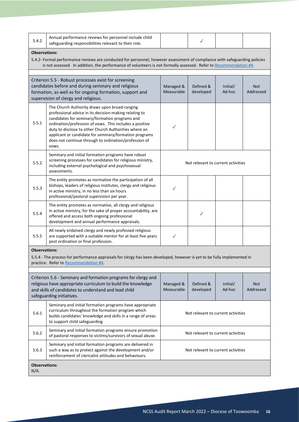| 5.4.2                                                                                                                                                                                                           | Annual performance reviews for personnel include child<br>safeguarding responsibilities relevant to their role.                                                                                                                                                                                                                                                                                           |                                    | $\checkmark$                       |                    |                  |  |  |
|-----------------------------------------------------------------------------------------------------------------------------------------------------------------------------------------------------------------|-----------------------------------------------------------------------------------------------------------------------------------------------------------------------------------------------------------------------------------------------------------------------------------------------------------------------------------------------------------------------------------------------------------|------------------------------------|------------------------------------|--------------------|------------------|--|--|
| <b>Observations:</b>                                                                                                                                                                                            |                                                                                                                                                                                                                                                                                                                                                                                                           |                                    |                                    |                    |                  |  |  |
|                                                                                                                                                                                                                 | 5.4.2- Formal performance reviews are conducted for personnel, however assessment of compliance with safeguarding policies<br>is not assessed. In addition, the performance of volunteers is not formally assessed. Refer to Recommendation #4.                                                                                                                                                           |                                    |                                    |                    |                  |  |  |
| Criterion 5.5 - Robust processes exist for screening<br>candidates before and during seminary and religious<br>formation, as well as for ongoing formation, support and<br>supervision of clergy and religious. |                                                                                                                                                                                                                                                                                                                                                                                                           | Managed &<br>Measurable            | Defined &<br>developed             | Initial/<br>Ad-hoc | Not<br>Addressed |  |  |
| 5.5.1                                                                                                                                                                                                           | The Church Authority draws upon broad-ranging<br>professional advice in its decision-making relating to<br>candidates for seminary/formation programs and<br>ordination/profession of vows. This includes a positive<br>duty to disclose to other Church Authorities where an<br>applicant or candidate for seminary/formation programs<br>does not continue through to ordination/profession of<br>vows. | $\checkmark$                       |                                    |                    |                  |  |  |
| 5.5.2                                                                                                                                                                                                           | Seminary and initial formation programs have robust<br>screening processes for candidates for religious ministry,<br>including external psychological and psychosexual<br>assessments.                                                                                                                                                                                                                    | Not relevant to current activities |                                    |                    |                  |  |  |
| 5.5.3                                                                                                                                                                                                           | The entity promotes as normative the participation of all<br>bishops, leaders of religious institutes, clergy and religious<br>in active ministry, in no less than six hours<br>professional/pastoral supervision per year.                                                                                                                                                                               | ✓                                  |                                    |                    |                  |  |  |
| 5.5.4                                                                                                                                                                                                           | The entity promotes as normative, all clergy and religious<br>in active ministry, for the sake of proper accountability, are<br>offered and access both ongoing professional<br>development and annual performance appraisals.                                                                                                                                                                            |                                    | $\checkmark$                       |                    |                  |  |  |
| 5.5.5                                                                                                                                                                                                           | All newly ordained clergy and newly professed religious<br>are supported with a suitable mentor for at least five years<br>post ordination or final profession.                                                                                                                                                                                                                                           | $\checkmark$                       |                                    |                    |                  |  |  |
| <b>Observations:</b>                                                                                                                                                                                            |                                                                                                                                                                                                                                                                                                                                                                                                           |                                    |                                    |                    |                  |  |  |
|                                                                                                                                                                                                                 | 5.5.4 - The process for performance appraisals for clergy has been developed, however is yet to be fully implemented in<br>practice. Refer to Recommendation #4.                                                                                                                                                                                                                                          |                                    |                                    |                    |                  |  |  |
|                                                                                                                                                                                                                 |                                                                                                                                                                                                                                                                                                                                                                                                           |                                    |                                    |                    |                  |  |  |
|                                                                                                                                                                                                                 | Criterion 5.6 - Seminary and formation programs for clergy and<br>religious have appropriate curriculum to build the knowledge<br>and skills of candidates to understand and lead child<br>safeguarding initiatives.                                                                                                                                                                                      | Managed &<br>Measurable            | Defined &<br>developed             | Initial/<br>Ad-hoc | Not<br>Addressed |  |  |
| 5.6.1                                                                                                                                                                                                           | Seminary and initial formation programs have appropriate<br>curriculum throughout the formation program which<br>builds candidates' knowledge and skills in a range of areas<br>to support child safeguarding                                                                                                                                                                                             | Not relevant to current activities |                                    |                    |                  |  |  |
| 5.6.2                                                                                                                                                                                                           | Seminary and initial formation programs ensure promotion<br>of pastoral responses to victims/survivors of sexual abuse.                                                                                                                                                                                                                                                                                   |                                    | Not relevant to current activities |                    |                  |  |  |
| 5.6.3                                                                                                                                                                                                           | Seminary and initial formation programs are delivered in<br>such a way as to protect against the development and/or<br>reinforcement of clericalist attitudes and behaviours.                                                                                                                                                                                                                             | Not relevant to current activities |                                    |                    |                  |  |  |
| <b>Observations:</b><br>N/A.                                                                                                                                                                                    |                                                                                                                                                                                                                                                                                                                                                                                                           |                                    |                                    |                    |                  |  |  |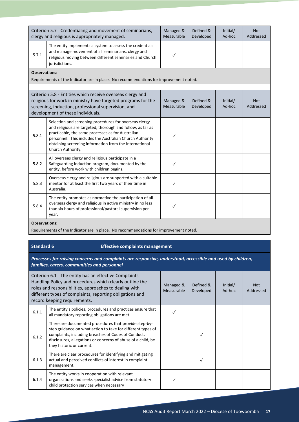|                      | Criterion 5.7 - Credentialing and movement of seminarians,<br>clergy and religious is appropriately managed.                                                                                                                                                                                                         | Managed &<br>Measurable | Defined &<br>Developed | Initial/<br>Ad-hoc | <b>Not</b><br>Addressed |  |  |  |
|----------------------|----------------------------------------------------------------------------------------------------------------------------------------------------------------------------------------------------------------------------------------------------------------------------------------------------------------------|-------------------------|------------------------|--------------------|-------------------------|--|--|--|
| 5.7.1                | The entity implements a system to assess the credentials<br>and manage movement of all seminarians, clergy and<br>religious moving between different seminaries and Church<br>jurisdictions.                                                                                                                         | $\checkmark$            |                        |                    |                         |  |  |  |
|                      | <b>Observations:</b>                                                                                                                                                                                                                                                                                                 |                         |                        |                    |                         |  |  |  |
|                      | Requirements of the Indicator are in place. No recommendations for improvement noted.                                                                                                                                                                                                                                |                         |                        |                    |                         |  |  |  |
|                      | Criterion 5.8 - Entities which receive overseas clergy and<br>religious for work in ministry have targeted programs for the<br>screening, induction, professional supervision, and<br>development of these individuals.                                                                                              | Managed &<br>Measurable | Defined &<br>Developed | Initial/<br>Ad-hoc | <b>Not</b><br>Addressed |  |  |  |
| 5.8.1                | Selection and screening procedures for overseas clergy<br>and religious are targeted, thorough and follow, as far as<br>practicable, the same processes as for Australian<br>personnel. This includes the Australian Church Authority<br>obtaining screening information from the International<br>Church Authority. |                         |                        |                    |                         |  |  |  |
| 5.8.2                | All overseas clergy and religious participate in a<br>Safeguarding Induction program, documented by the<br>entity, before work with children begins.                                                                                                                                                                 | ✓                       |                        |                    |                         |  |  |  |
| 5.8.3                | Overseas clergy and religious are supported with a suitable<br>mentor for at least the first two years of their time in<br>Australia.                                                                                                                                                                                |                         |                        |                    |                         |  |  |  |
| 5.8.4                | The entity promotes as normative the participation of all<br>overseas clergy and religious in active ministry in no less<br>than six hours of professional/pastoral supervision per<br>year.                                                                                                                         |                         |                        |                    |                         |  |  |  |
| <b>Observations:</b> |                                                                                                                                                                                                                                                                                                                      |                         |                        |                    |                         |  |  |  |

Requirements of the Indicator are in place. No recommendations for improvement noted.

#### **Standard 6 Effective complaints management**

*Processes for raising concerns and complaints are responsive, understood, accessible and used by children, families, carers, communities and personnel*

|       | Criterion 6.1 - The entity has an effective Complaints<br>Handling Policy and procedures which clearly outline the<br>roles and responsibilities, approaches to dealing with<br>different types of complaints, reporting obligations and<br>record keeping requirements. | Managed &<br>Measurable | Defined &<br>Developed | Initial/<br>Ad-hoc | <b>Not</b><br>Addressed |
|-------|--------------------------------------------------------------------------------------------------------------------------------------------------------------------------------------------------------------------------------------------------------------------------|-------------------------|------------------------|--------------------|-------------------------|
| 6.1.1 | The entity's policies, procedures and practices ensure that<br>all mandatory reporting obligations are met.                                                                                                                                                              |                         |                        |                    |                         |
| 6.1.2 | There are documented procedures that provide step-by-<br>step guidance on what action to take for different types of<br>complaints, including breaches of Codes of Conduct,<br>disclosures, allegations or concerns of abuse of a child, be<br>they historic or current. |                         |                        |                    |                         |
| 6.1.3 | There are clear procedures for identifying and mitigating<br>actual and perceived conflicts of interest in complaint<br>management.                                                                                                                                      |                         |                        |                    |                         |
| 6.1.4 | The entity works in cooperation with relevant<br>organisations and seeks specialist advice from statutory<br>child protection services when necessary                                                                                                                    |                         |                        |                    |                         |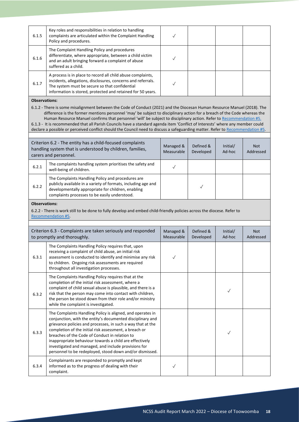| 6.1.5                | Key roles and responsibilities in relation to handling<br>complaints are articulated within the Complaint Handling<br>Policy and procedures.                                                                                                                                                                                                                                                                                                                                                                                                                                                                                                   | ✓                       |                        |                    |                         |
|----------------------|------------------------------------------------------------------------------------------------------------------------------------------------------------------------------------------------------------------------------------------------------------------------------------------------------------------------------------------------------------------------------------------------------------------------------------------------------------------------------------------------------------------------------------------------------------------------------------------------------------------------------------------------|-------------------------|------------------------|--------------------|-------------------------|
| 6.1.6                | The Complaint Handling Policy and procedures<br>differentiate, where appropriate, between a child victim<br>and an adult bringing forward a complaint of abuse<br>suffered as a child.                                                                                                                                                                                                                                                                                                                                                                                                                                                         | $\checkmark$            |                        |                    |                         |
| 6.1.7                | A process is in place to record all child abuse complaints,<br>incidents, allegations, disclosures, concerns and referrals.<br>The system must be secure so that confidential<br>information is stored, protected and retained for 50 years.                                                                                                                                                                                                                                                                                                                                                                                                   | ✓                       |                        |                    |                         |
| <b>Observations:</b> |                                                                                                                                                                                                                                                                                                                                                                                                                                                                                                                                                                                                                                                |                         |                        |                    |                         |
|                      | 6.1.2 - There is some misalignment between the Code of Conduct (2021) and the Diocesan Human Resource Manuel (2018). The<br>difference is the former mentions personnel 'may' be subject to disciplinary action for a breach of the Code whereas the<br>Human Resource Manuel confirms that personnel 'will' be subject to disciplinary action. Refer to Recommendation #5.<br>6.1.3 - It is recommended that all Parish Councils have a standard agenda item 'Conflict of Interests' where any member could<br>declare a possible or perceived conflict should the Council need to discuss a safeguarding matter. Refer to Recommendation #5. |                         |                        |                    |                         |
|                      |                                                                                                                                                                                                                                                                                                                                                                                                                                                                                                                                                                                                                                                |                         |                        |                    |                         |
|                      | Criterion 6.2 - The entity has a child-focused complaints<br>handling system that is understood by children, families,<br>carers and personnel.                                                                                                                                                                                                                                                                                                                                                                                                                                                                                                | Managed &<br>Measurable | Defined &<br>Developed | Initial/<br>Ad-hoc | <b>Not</b><br>Addressed |
| 6.2.1                | The complaints handling system prioritises the safety and<br>well-being of children.                                                                                                                                                                                                                                                                                                                                                                                                                                                                                                                                                           | $\checkmark$            |                        |                    |                         |
| 6.2.2                | The Complaints Handling Policy and procedures are<br>publicly available in a variety of formats, including age and<br>developmentally appropriate for children, enabling<br>complaints processes to be easily understood.                                                                                                                                                                                                                                                                                                                                                                                                                      |                         | $\checkmark$           |                    |                         |
| <b>Observations:</b> | 6.2.2 - There is work still to be done to fully develop and embed child-friendly policies across the diocese. Refer to<br>Recommendation #5.                                                                                                                                                                                                                                                                                                                                                                                                                                                                                                   |                         |                        |                    |                         |
|                      | Criterion 6.3 - Complaints are taken seriously and responded<br>to promptly and thoroughly.                                                                                                                                                                                                                                                                                                                                                                                                                                                                                                                                                    | Managed &<br>Measurable | Defined &<br>Developed | Initial/<br>Ad-hoc | <b>Not</b><br>Addressed |
| 6.3.1                | The Complaints Handling Policy requires that, upon<br>receiving a complaint of child abuse, an initial risk<br>assessment is conducted to identify and minimise any risk<br>to children. Ongoing risk assessments are required<br>throughout all investigation processes.                                                                                                                                                                                                                                                                                                                                                                      |                         |                        |                    |                         |
| 6.3.2                | The Complaints Handling Policy requires that at the<br>completion of the initial risk assessment, where a<br>complaint of child sexual abuse is plausible, and there is a<br>risk that the person may come into contact with children,<br>the person be stood down from their role and/or ministry<br>while the complaint is investigated.                                                                                                                                                                                                                                                                                                     |                         |                        | $\checkmark$       |                         |
| 6.3.3                | The Complaints Handling Policy is aligned, and operates in<br>conjunction, with the entity's documented disciplinary and<br>grievance policies and processes, in such a way that at the<br>completion of the initial risk assessment, a breach or<br>breaches of the Code of Conduct in relation to<br>inappropriate behaviour towards a child are effectively<br>investigated and managed, and include provisions for                                                                                                                                                                                                                         |                         |                        | $\checkmark$       |                         |
|                      | personnel to be redeployed, stood down and/or dismissed.                                                                                                                                                                                                                                                                                                                                                                                                                                                                                                                                                                                       |                         |                        |                    |                         |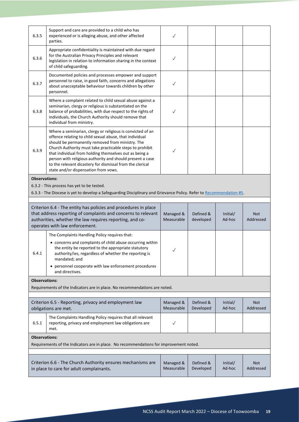| 6.3.5                                                                                                                                                                                                                                                                                                     | Support and care are provided to a child who has<br>experienced or is alleging abuse, and other affected<br>parties.                                                                                                                                                                                                                                                                                                                                              | $\checkmark$            |                        |                         |                         |
|-----------------------------------------------------------------------------------------------------------------------------------------------------------------------------------------------------------------------------------------------------------------------------------------------------------|-------------------------------------------------------------------------------------------------------------------------------------------------------------------------------------------------------------------------------------------------------------------------------------------------------------------------------------------------------------------------------------------------------------------------------------------------------------------|-------------------------|------------------------|-------------------------|-------------------------|
| 6.3.6                                                                                                                                                                                                                                                                                                     | Appropriate confidentiality is maintained with due regard<br>for the Australian Privacy Principles and relevant<br>legislation in relation to information sharing in the context<br>of child safeguarding.                                                                                                                                                                                                                                                        | $\checkmark$            |                        |                         |                         |
| 6.3.7                                                                                                                                                                                                                                                                                                     | Documented policies and processes empower and support<br>personnel to raise, in good faith, concerns and allegations<br>about unacceptable behaviour towards children by other<br>personnel.                                                                                                                                                                                                                                                                      |                         |                        |                         |                         |
| 6.3.8                                                                                                                                                                                                                                                                                                     | Where a complaint related to child sexual abuse against a<br>seminarian, clergy or religious is substantiated on the<br>balance of probabilities, with due respect to the rights of<br>individuals, the Church Authority should remove that<br>individual from ministry.                                                                                                                                                                                          | $\checkmark$            |                        |                         |                         |
| 6.3.9                                                                                                                                                                                                                                                                                                     | Where a seminarian, clergy or religious is convicted of an<br>offence relating to child sexual abuse, that individual<br>should be permanently removed from ministry. The<br>Church Authority must take practicable steps to prohibit<br>that individual from holding themselves out as being a<br>person with religious authority and should present a case<br>to the relevant dicastery for dismissal from the clerical<br>state and/or dispensation from vows. | $\checkmark$            |                        |                         |                         |
| <b>Observations:</b>                                                                                                                                                                                                                                                                                      |                                                                                                                                                                                                                                                                                                                                                                                                                                                                   |                         |                        |                         |                         |
|                                                                                                                                                                                                                                                                                                           | 6.3.2 - This process has yet to be tested.<br>6.3.3 - The Diocese is yet to develop a Safeguarding Disciplinary and Grievance Policy. Refer to Recommendation #5.                                                                                                                                                                                                                                                                                                 |                         |                        |                         |                         |
|                                                                                                                                                                                                                                                                                                           |                                                                                                                                                                                                                                                                                                                                                                                                                                                                   |                         |                        |                         |                         |
| Criterion 6.4 - The entity has policies and procedures in place<br>that address reporting of complaints and concerns to relevant<br>Managed &<br>Defined &<br>Initial/<br>Measurable<br>Ad-hoc<br>authorities, whether the law requires reporting, and co-<br>developed<br>operates with law enforcement. |                                                                                                                                                                                                                                                                                                                                                                                                                                                                   |                         |                        | <b>Not</b><br>Addressed |                         |
|                                                                                                                                                                                                                                                                                                           |                                                                                                                                                                                                                                                                                                                                                                                                                                                                   |                         |                        |                         |                         |
|                                                                                                                                                                                                                                                                                                           | The Complaints Handling Policy requires that:                                                                                                                                                                                                                                                                                                                                                                                                                     |                         |                        |                         |                         |
| 6.4.1                                                                                                                                                                                                                                                                                                     | • concerns and complaints of child abuse occurring within<br>the entity be reported to the appropriate statutory<br>authority/ies, regardless of whether the reporting is<br>mandated; and                                                                                                                                                                                                                                                                        | $\checkmark$            |                        |                         |                         |
|                                                                                                                                                                                                                                                                                                           | • personnel cooperate with law enforcement procedures<br>and directives.                                                                                                                                                                                                                                                                                                                                                                                          |                         |                        |                         |                         |
| <b>Observations:</b>                                                                                                                                                                                                                                                                                      |                                                                                                                                                                                                                                                                                                                                                                                                                                                                   |                         |                        |                         |                         |
|                                                                                                                                                                                                                                                                                                           | Requirements of the Indicators are in place. No recommendations are noted.                                                                                                                                                                                                                                                                                                                                                                                        |                         |                        |                         |                         |
|                                                                                                                                                                                                                                                                                                           |                                                                                                                                                                                                                                                                                                                                                                                                                                                                   |                         |                        |                         |                         |
|                                                                                                                                                                                                                                                                                                           | Criterion 6.5 - Reporting, privacy and employment law<br>obligations are met.                                                                                                                                                                                                                                                                                                                                                                                     | Managed &<br>Measurable | Defined &<br>Developed | Initial/<br>Ad-hoc      | <b>Not</b><br>Addressed |
| 6.5.1                                                                                                                                                                                                                                                                                                     | The Complaints Handling Policy requires that all relevant<br>reporting, privacy and employment law obligations are<br>met.                                                                                                                                                                                                                                                                                                                                        | $\checkmark$            |                        |                         |                         |
| <b>Observations:</b>                                                                                                                                                                                                                                                                                      |                                                                                                                                                                                                                                                                                                                                                                                                                                                                   |                         |                        |                         |                         |
|                                                                                                                                                                                                                                                                                                           | Requirements of the Indicators are in place. No recommendations for improvement noted.                                                                                                                                                                                                                                                                                                                                                                            |                         |                        |                         |                         |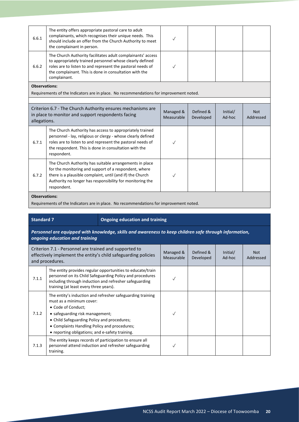| The entity offers appropriate pastoral care to adult<br>complainants, which recognises their unique needs. This<br>6.6.1<br>should include an offer from the Church Authority to meet<br>the complainant in person.                                                      |                         |                        |                    |                         |  |  |  |
|--------------------------------------------------------------------------------------------------------------------------------------------------------------------------------------------------------------------------------------------------------------------------|-------------------------|------------------------|--------------------|-------------------------|--|--|--|
| The Church Authority facilitates adult complainants' access<br>to appropriately trained personnel whose clearly defined<br>roles are to listen to and represent the pastoral needs of<br>6.6.2<br>the complainant. This is done in consultation with the<br>complainant. | $\sqrt{}$               |                        |                    |                         |  |  |  |
| <b>Observations:</b>                                                                                                                                                                                                                                                     |                         |                        |                    |                         |  |  |  |
| Requirements of the Indicators are in place. No recommendations for improvement noted.                                                                                                                                                                                   |                         |                        |                    |                         |  |  |  |
| Criterion 6.7 - The Church Authority ensures mechanisms are<br>in place to monitor and support respondents facing<br>allegations.                                                                                                                                        | Managed &<br>Measurable | Defined &<br>Developed | Initial/<br>Ad-hoc | <b>Not</b><br>Addressed |  |  |  |
| The Church Authority has access to appropriately trained<br>personnel - lay, religious or clergy - whose clearly defined<br>roles are to listen to and represent the pastoral needs of<br>6.7.1<br>the respondent. This is done in consultation with the<br>respondent.  | $\checkmark$            |                        |                    |                         |  |  |  |
| The Church Authority has suitable arrangements in place<br>for the monitoring and support of a respondent, where<br>there is a plausible complaint, until (and if) the Church<br>6.7.2<br>Authority no longer has responsibility for monitoring the<br>respondent.       |                         |                        |                    |                         |  |  |  |
| <b>Observations:</b><br>Requirements of the Indicators are in place. No recommendations for improvement noted.                                                                                                                                                           |                         |                        |                    |                         |  |  |  |

### **Standard 7 Ongoing education and training**

*Personnel are equipped with knowledge, skills and awareness to keep children safe through information, ongoing education and training*

| Criterion 7.1 - Personnel are trained and supported to<br>effectively implement the entity's child safeguarding policies<br>and procedures. |                                                                                                                                                                                                                                                                                                   | Managed &<br><b>Measurable</b> | Defined &<br>Developed | Initial/<br>Ad-hoc | Not.<br>Addressed |
|---------------------------------------------------------------------------------------------------------------------------------------------|---------------------------------------------------------------------------------------------------------------------------------------------------------------------------------------------------------------------------------------------------------------------------------------------------|--------------------------------|------------------------|--------------------|-------------------|
| 7.1.1                                                                                                                                       | The entity provides regular opportunities to educate/train<br>personnel on its Child Safeguarding Policy and procedures<br>including through induction and refresher safeguarding<br>training (at least every three years).                                                                       |                                |                        |                    |                   |
| 7.1.2                                                                                                                                       | The entity's induction and refresher safeguarding training<br>must as a minimum cover:<br>• Code of Conduct;<br>• safeguarding risk management;<br>• Child Safeguarding Policy and procedures;<br>• Complaints Handling Policy and procedures;<br>• reporting obligations; and e-safety training. |                                |                        |                    |                   |
| 7.1.3                                                                                                                                       | The entity keeps records of participation to ensure all<br>personnel attend induction and refresher safeguarding<br>training.                                                                                                                                                                     |                                |                        |                    |                   |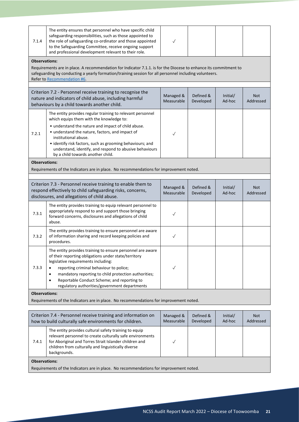| 7.1.4                                                                                                                                                                                                                                                                        | The entity ensures that personnel who have specific child<br>safeguarding responsibilities, such as those appointed to<br>the role of safeguarding co-ordinator and those appointed<br>to the Safeguarding Committee, receive ongoing support<br>and professional development relevant to their role.                                                                                                | $\checkmark$            |                        |                    |                         |  |  |
|------------------------------------------------------------------------------------------------------------------------------------------------------------------------------------------------------------------------------------------------------------------------------|------------------------------------------------------------------------------------------------------------------------------------------------------------------------------------------------------------------------------------------------------------------------------------------------------------------------------------------------------------------------------------------------------|-------------------------|------------------------|--------------------|-------------------------|--|--|
| <b>Observations:</b>                                                                                                                                                                                                                                                         |                                                                                                                                                                                                                                                                                                                                                                                                      |                         |                        |                    |                         |  |  |
|                                                                                                                                                                                                                                                                              | Requirements are in place. A recommendation for Indicator 7.1.1. is for the Diocese to enhance its commitment to<br>safeguarding by conducting a yearly formation/training session for all personnel including volunteers.<br>Refer to Recommendation #6.                                                                                                                                            |                         |                        |                    |                         |  |  |
| Criterion 7.2 - Personnel receive training to recognise the<br>Managed &<br>Defined &<br>Initial/<br><b>Not</b><br>nature and indicators of child abuse, including harmful<br>Measurable<br>Ad-hoc<br>Developed<br>Addressed<br>behaviours by a child towards another child. |                                                                                                                                                                                                                                                                                                                                                                                                      |                         |                        |                    |                         |  |  |
| 7.2.1                                                                                                                                                                                                                                                                        | The entity provides regular training to relevant personnel<br>which equips them with the knowledge to:<br>• understand the nature and impact of child abuse.<br>• understand the nature, factors, and impact of<br>institutional abuse.<br>• identify risk factors, such as grooming behaviours; and<br>understand, identify, and respond to abusive behaviours<br>by a child towards another child. | √                       |                        |                    |                         |  |  |
| <b>Observations:</b>                                                                                                                                                                                                                                                         |                                                                                                                                                                                                                                                                                                                                                                                                      |                         |                        |                    |                         |  |  |
|                                                                                                                                                                                                                                                                              | Requirements of the Indicators are in place. No recommendations for improvement noted.                                                                                                                                                                                                                                                                                                               |                         |                        |                    |                         |  |  |
|                                                                                                                                                                                                                                                                              |                                                                                                                                                                                                                                                                                                                                                                                                      |                         |                        |                    |                         |  |  |
|                                                                                                                                                                                                                                                                              | Criterion 7.3 - Personnel receive training to enable them to<br>respond effectively to child safeguarding risks, concerns,<br>disclosures, and allegations of child abuse.                                                                                                                                                                                                                           | Managed &<br>Measurable | Defined &<br>Developed | Initial/<br>Ad-hoc | <b>Not</b><br>Addressed |  |  |
| 7.3.1                                                                                                                                                                                                                                                                        | The entity provides training to equip relevant personnel to<br>appropriately respond to and support those bringing<br>forward concerns, disclosures and allegations of child<br>abuse.                                                                                                                                                                                                               | ✓                       |                        |                    |                         |  |  |
| 7.3.2                                                                                                                                                                                                                                                                        | The entity provides training to ensure personnel are aware<br>of information sharing and record keeping policies and<br>procedures.                                                                                                                                                                                                                                                                  | $\checkmark$            |                        |                    |                         |  |  |
| 7.3.3                                                                                                                                                                                                                                                                        | The entity provides training to ensure personnel are aware<br>of their reporting obligations under state/territory<br>legislative requirements including:<br>reporting criminal behaviour to police;<br>mandatory reporting to child protection authorities;<br>Reportable Conduct Scheme; and reporting to<br>٠<br>regulatory authorities/government departments                                    | $\checkmark$            |                        |                    |                         |  |  |
| <b>Observations:</b>                                                                                                                                                                                                                                                         | Requirements of the Indicators are in place. No recommendations for improvement noted.                                                                                                                                                                                                                                                                                                               |                         |                        |                    |                         |  |  |
|                                                                                                                                                                                                                                                                              |                                                                                                                                                                                                                                                                                                                                                                                                      |                         |                        |                    |                         |  |  |
|                                                                                                                                                                                                                                                                              | Criterion 7.4 - Personnel receive training and information on<br>how to build culturally safe environments for children.                                                                                                                                                                                                                                                                             | Managed &<br>Measurable | Defined &<br>Developed | Initial/<br>Ad-hoc | <b>Not</b><br>Addressed |  |  |
| 7.4.1                                                                                                                                                                                                                                                                        | The entity provides cultural safety training to equip<br>relevant personnel to create culturally safe environments<br>for Aboriginal and Torres Strait Islander children and<br>children from culturally and linguistically diverse<br>backgrounds.                                                                                                                                                  |                         |                        |                    |                         |  |  |

Requirements of the Indicators are in place. No recommendations for improvement noted.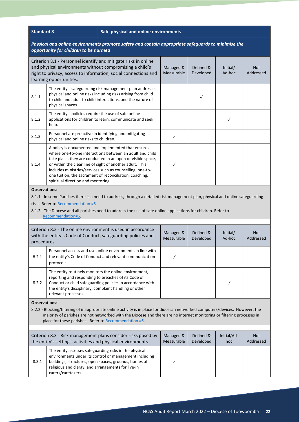| <b>Standard 8</b> |  |
|-------------------|--|
|                   |  |

#### **Safe physical and online environments**

#### *Physical and online environments promote safety and contain appropriate safeguards to minimise the opportunity for children to be harmed*

|                                                                                                                                                                                                                                                                                                                                           | opportunity for children to be number                                                                                                                                                                                                                                                                                                                                                                    |                         |                        |                    |                         |  |
|-------------------------------------------------------------------------------------------------------------------------------------------------------------------------------------------------------------------------------------------------------------------------------------------------------------------------------------------|----------------------------------------------------------------------------------------------------------------------------------------------------------------------------------------------------------------------------------------------------------------------------------------------------------------------------------------------------------------------------------------------------------|-------------------------|------------------------|--------------------|-------------------------|--|
|                                                                                                                                                                                                                                                                                                                                           | Criterion 8.1 - Personnel identify and mitigate risks in online<br>and physical environments without compromising a child's<br>right to privacy, access to information, social connections and<br>learning opportunities.                                                                                                                                                                                | Managed &<br>Measurable | Defined &<br>Developed | Initial/<br>Ad-hoc | <b>Not</b><br>Addressed |  |
| 8.1.1                                                                                                                                                                                                                                                                                                                                     | The entity's safeguarding risk management plan addresses<br>physical and online risks including risks arising from child<br>to child and adult to child interactions, and the nature of<br>physical spaces.                                                                                                                                                                                              |                         | $\checkmark$           |                    |                         |  |
| 8.1.2                                                                                                                                                                                                                                                                                                                                     | The entity's policies require the use of safe online<br>applications for children to learn, communicate and seek<br>help.                                                                                                                                                                                                                                                                                |                         |                        | $\checkmark$       |                         |  |
| 8.1.3                                                                                                                                                                                                                                                                                                                                     | Personnel are proactive in identifying and mitigating<br>physical and online risks to children.                                                                                                                                                                                                                                                                                                          | $\checkmark$            |                        |                    |                         |  |
| 8.1.4                                                                                                                                                                                                                                                                                                                                     | A policy is documented and implemented that ensures<br>where one-to-one interactions between an adult and child<br>take place, they are conducted in an open or visible space,<br>or within the clear line of sight of another adult. This<br>includes ministries/services such as counselling, one-to-<br>one tuition, the sacrament of reconciliation, coaching,<br>spiritual direction and mentoring. | ✓                       |                        |                    |                         |  |
|                                                                                                                                                                                                                                                                                                                                           | risks. Refer to Recommendation #6<br>8.1.2 - The Diocese and all parishes need to address the use of safe online applications for children. Refer to<br>Recommendation#6.<br>Criterion 8.2 - The online environment is used in accordance<br>with the entity's Code of Conduct, safeguarding policies and                                                                                                | Managed &               | Defined &              | Initial/           | <b>Not</b>              |  |
| procedures.                                                                                                                                                                                                                                                                                                                               |                                                                                                                                                                                                                                                                                                                                                                                                          | Measurable              | Developed              | Ad-hoc             | Addressed               |  |
| 8.2.1                                                                                                                                                                                                                                                                                                                                     | Personnel access and use online environments in line with<br>the entity's Code of Conduct and relevant communication<br>protocols.                                                                                                                                                                                                                                                                       | $\checkmark$            |                        |                    |                         |  |
| 8.2.2                                                                                                                                                                                                                                                                                                                                     | The entity routinely monitors the online environment,<br>reporting and responding to breaches of its Code of<br>Conduct or child safeguarding policies in accordance with<br>the entity's disciplinary, complaint handling or other<br>relevant processes.                                                                                                                                               |                         |                        |                    |                         |  |
| <b>Observations:</b><br>8.2.2 - Blocking/filtering of inappropriate online activity is in place for diocesan networked computers/devices. However, the<br>majority of parishes are not networked with the Diocese and there are no internet monitoring or filtering processes in<br>place for these parishes. Refer to Recommendation #6. |                                                                                                                                                                                                                                                                                                                                                                                                          |                         |                        |                    |                         |  |
|                                                                                                                                                                                                                                                                                                                                           | Criterion 8.3 - Risk management plans consider risks posed by<br>the entity's settings, activities and physical environments.                                                                                                                                                                                                                                                                            | Managed &<br>Measurable | Defined &<br>Developed | Initial/Ad-<br>hoc | <b>Not</b><br>Addressed |  |
| 8.3.1                                                                                                                                                                                                                                                                                                                                     | The entity assesses safeguarding risks in the physical<br>environments under its control or management including<br>buildings, structures, open spaces, grounds, homes of<br>religious and clergy, and arrangements for live-in<br>carers/caretakers.                                                                                                                                                    | $\checkmark$            |                        |                    |                         |  |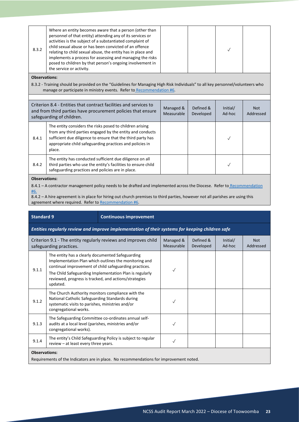| 8.3.2 | Where an entity becomes aware that a person (other than<br>personnel of that entity) attending any of its services or<br>activities is the subject of a substantiated complaint of<br>child sexual abuse or has been convicted of an offence<br>relating to child sexual abuse, the entity has in place and<br>implements a process for assessing and managing the risks<br>posed to children by that person's ongoing involvement in<br>the service or activity. |  |  |  |  |
|-------|-------------------------------------------------------------------------------------------------------------------------------------------------------------------------------------------------------------------------------------------------------------------------------------------------------------------------------------------------------------------------------------------------------------------------------------------------------------------|--|--|--|--|
|-------|-------------------------------------------------------------------------------------------------------------------------------------------------------------------------------------------------------------------------------------------------------------------------------------------------------------------------------------------------------------------------------------------------------------------------------------------------------------------|--|--|--|--|

#### **Observations:**

8.3.2 - Training should be provided on the "Guidelines for Managing High Risk Individuals" to all key personnel/volunteers who manage or participate in ministry events. Refer t[o Recommendation #6.](#page-30-0)

| Criterion 8.4 - Entities that contract facilities and services to<br>and from third parties have procurement policies that ensure<br>safeguarding of children. |                                                                                                                                                                                                                                                            | Managed &<br>Measurable | Defined &<br>Developed | Initial/<br>Ad-hoc | Not.<br>Addressed |
|----------------------------------------------------------------------------------------------------------------------------------------------------------------|------------------------------------------------------------------------------------------------------------------------------------------------------------------------------------------------------------------------------------------------------------|-------------------------|------------------------|--------------------|-------------------|
| 8.4.1                                                                                                                                                          | The entity considers the risks posed to children arising<br>from any third parties engaged by the entity and conducts<br>sufficient due diligence to ensure that the third party has<br>appropriate child safeguarding practices and policies in<br>place. |                         |                        |                    |                   |
| 8.4.2                                                                                                                                                          | The entity has conducted sufficient due diligence on all<br>third parties who use the entity's facilities to ensure child<br>safeguarding practices and policies are in place.                                                                             |                         |                        |                    |                   |
|                                                                                                                                                                |                                                                                                                                                                                                                                                            |                         |                        |                    |                   |

#### **Observations:**

8.4.1 – A contractor management policy needs to be drafted and implemented across the Diocese. Refer t[o Recommendation](#page-30-0) [#6.](#page-30-0)

8.4.2 – A hire agreement is in place for hiring out church premises to third parties, however not all parishes are using this agreement where required. Refer t[o Recommendation #6.](#page-30-0)

#### **Standard 9 Continuous improvement**

*Entities regularly review and improve implementation of their systems for keeping children safe*

| Criterion 9.1 - The entity regularly reviews and improves child<br>safeguarding practices.                     |                                                                                                                                                                                                                                                                                                     | Managed &<br>Measurable | Defined &<br>Developed | Initial/<br>Ad-hoc | <b>Not</b><br>Addressed |  |
|----------------------------------------------------------------------------------------------------------------|-----------------------------------------------------------------------------------------------------------------------------------------------------------------------------------------------------------------------------------------------------------------------------------------------------|-------------------------|------------------------|--------------------|-------------------------|--|
| 9.1.1                                                                                                          | The entity has a clearly documented Safeguarding<br>Implementation Plan which outlines the monitoring and<br>continual improvement of child safeguarding practices.<br>The Child Safeguarding Implementation Plan is regularly<br>reviewed, progress is tracked, and actions/strategies<br>updated. |                         |                        |                    |                         |  |
| 9.1.2                                                                                                          | The Church Authority monitors compliance with the<br>National Catholic Safeguarding Standards during<br>systematic visits to parishes, ministries and/or<br>congregational works.                                                                                                                   |                         |                        |                    |                         |  |
| 9.1.3                                                                                                          | The Safeguarding Committee co-ordinates annual self-<br>audits at a local level (parishes, ministries and/or<br>congregational works).                                                                                                                                                              |                         |                        |                    |                         |  |
| 9.1.4                                                                                                          | The entity's Child Safeguarding Policy is subject to regular<br>review – at least every three years.                                                                                                                                                                                                |                         |                        |                    |                         |  |
| <b>Observations:</b><br>Requirements of the Indicators are in place. No recommendations for improvement noted. |                                                                                                                                                                                                                                                                                                     |                         |                        |                    |                         |  |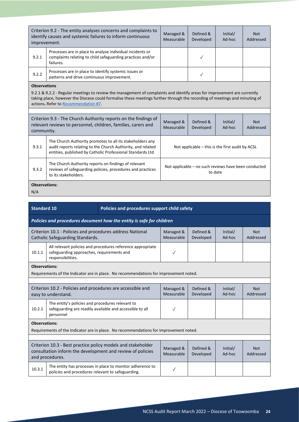| Criterion 9.2 - The entity analyses concerns and complaints to<br>identify causes and systemic failures to inform continuous<br>improvement.                                                                                                                                                                          |                                                                                                                                                                                        |                                                                      | Managed &<br>Measurable                                         | Defined &<br>Developed | Initial/<br>Ad-hoc      | <b>Not</b><br>Addressed |  |
|-----------------------------------------------------------------------------------------------------------------------------------------------------------------------------------------------------------------------------------------------------------------------------------------------------------------------|----------------------------------------------------------------------------------------------------------------------------------------------------------------------------------------|----------------------------------------------------------------------|-----------------------------------------------------------------|------------------------|-------------------------|-------------------------|--|
| 9.2.1                                                                                                                                                                                                                                                                                                                 | Processes are in place to analyse individual incidents or<br>complaints relating to child safeguarding practices and/or<br>failures.                                                   |                                                                      | $\checkmark$                                                    |                        |                         |                         |  |
| 9.2.2                                                                                                                                                                                                                                                                                                                 | Processes are in place to identify systemic issues or<br>patterns and drive continuous improvement.                                                                                    |                                                                      |                                                                 | $\checkmark$           |                         |                         |  |
| <b>Observations</b><br>9.2.1 & 9.2.2 - Regular meetings to review the management of complaints and identify areas for improvement are currently<br>taking place, however the Diocese could formalise these meetings further through the recording of meetings and minuting of<br>actions. Refer to Recommendation #7. |                                                                                                                                                                                        |                                                                      |                                                                 |                        |                         |                         |  |
| community.                                                                                                                                                                                                                                                                                                            | Criterion 9.3 - The Church Authority reports on the findings of<br>relevant reviews to personnel, children, families, carers and                                                       | Managed &<br>Measurable                                              | Defined &<br>Developed                                          | Initial/<br>Ad-hoc     | <b>Not</b><br>Addressed |                         |  |
| 9.3.1                                                                                                                                                                                                                                                                                                                 | The Church Authority promotes to all its stakeholders any<br>audit reports relating to the Church Authority, and related<br>entities, published by Catholic Professional Standards Ltd | Not applicable $-$ this is the first audit by ACSL                   |                                                                 |                        |                         |                         |  |
| 9.3.2                                                                                                                                                                                                                                                                                                                 | The Church Authority reports on findings of relevant<br>to its stakeholders.                                                                                                           | reviews of safeguarding policies, procedures and practices           | Not applicable - no such reviews have been conducted<br>to date |                        |                         |                         |  |
| <b>Observations:</b><br>N/A                                                                                                                                                                                                                                                                                           |                                                                                                                                                                                        |                                                                      |                                                                 |                        |                         |                         |  |
| <b>Standard 10</b>                                                                                                                                                                                                                                                                                                    |                                                                                                                                                                                        | Policies and procedures support child safety                         |                                                                 |                        |                         |                         |  |
|                                                                                                                                                                                                                                                                                                                       |                                                                                                                                                                                        | Policies and procedures document how the entity is safe for children |                                                                 |                        |                         |                         |  |
| Criterion 10.1 - Policies and procedures address National<br>Catholic Safeguarding Standards.                                                                                                                                                                                                                         |                                                                                                                                                                                        |                                                                      | Managed &<br>Measurable                                         | Defined &<br>Developed | Initial/<br>Ad-hoc      | <b>Not</b><br>Addressed |  |
| 10.1.1                                                                                                                                                                                                                                                                                                                | safeguarding approaches, requirements and<br>responsibilities.                                                                                                                         | All relevant policies and procedures reference appropriate           | $\checkmark$                                                    |                        |                         |                         |  |
| <b>Observations:</b>                                                                                                                                                                                                                                                                                                  |                                                                                                                                                                                        |                                                                      |                                                                 |                        |                         |                         |  |

Requirements of the Indicator are in place. No recommendations for improvement noted.

| Managed &<br>Measurable                                                                                       | Defined &<br>Developed | Initial/<br>Ad-hoc | Not.<br>Addressed       |  |  |  |
|---------------------------------------------------------------------------------------------------------------|------------------------|--------------------|-------------------------|--|--|--|
|                                                                                                               |                        |                    |                         |  |  |  |
| <b>Observations:</b><br>Requirements of the Indicator are in place. No recommendations for improvement noted. |                        |                    |                         |  |  |  |
|                                                                                                               |                        |                    |                         |  |  |  |
| Managed &<br>Measurable                                                                                       | Defined &<br>Developed | Initial/<br>Ad-hoc | <b>Not</b><br>Addressed |  |  |  |
|                                                                                                               |                        |                    |                         |  |  |  |
|                                                                                                               |                        |                    |                         |  |  |  |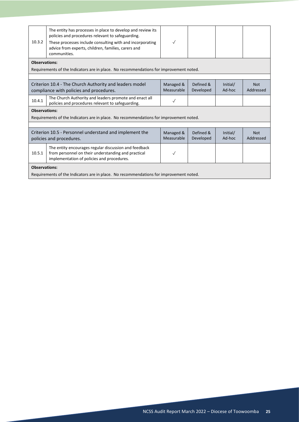<span id="page-24-0"></span>

| 10.3.2               | The entity has processes in place to develop and review its<br>policies and procedures relevant to safeguarding.<br>These processes include consulting with and incorporating<br>advice from experts, children, families, carers and<br>communities. | $\checkmark$            |                        |                    |                         |  |  |  |  |
|----------------------|------------------------------------------------------------------------------------------------------------------------------------------------------------------------------------------------------------------------------------------------------|-------------------------|------------------------|--------------------|-------------------------|--|--|--|--|
|                      |                                                                                                                                                                                                                                                      |                         |                        |                    |                         |  |  |  |  |
|                      | <b>Observations:</b><br>Requirements of the Indicators are in place. No recommendations for improvement noted.                                                                                                                                       |                         |                        |                    |                         |  |  |  |  |
|                      |                                                                                                                                                                                                                                                      |                         |                        |                    |                         |  |  |  |  |
|                      | Criterion 10.4 - The Church Authority and leaders model<br>compliance with policies and procedures.                                                                                                                                                  | Managed &<br>Measurable | Defined &<br>Developed | Initial/<br>Ad-hoc | <b>Not</b><br>Addressed |  |  |  |  |
| 10.4.1               | The Church Authority and leaders promote and enact all<br>policies and procedures relevant to safeguarding.                                                                                                                                          |                         |                        |                    |                         |  |  |  |  |
| <b>Observations:</b> |                                                                                                                                                                                                                                                      |                         |                        |                    |                         |  |  |  |  |
|                      | Requirements of the Indicators are in place. No recommendations for improvement noted.                                                                                                                                                               |                         |                        |                    |                         |  |  |  |  |
|                      |                                                                                                                                                                                                                                                      |                         |                        |                    |                         |  |  |  |  |
|                      | Criterion 10.5 - Personnel understand and implement the<br>policies and procedures.                                                                                                                                                                  | Managed &<br>Measurable | Defined &<br>Developed | Initial/<br>Ad-hoc | <b>Not</b><br>Addressed |  |  |  |  |
| 10.5.1               | The entity encourages regular discussion and feedback<br>from personnel on their understanding and practical<br>implementation of policies and procedures.                                                                                           |                         |                        |                    |                         |  |  |  |  |
| <b>Observations:</b> |                                                                                                                                                                                                                                                      |                         |                        |                    |                         |  |  |  |  |
|                      | Requirements of the Indicators are in place. No recommendations for improvement noted.                                                                                                                                                               |                         |                        |                    |                         |  |  |  |  |
|                      |                                                                                                                                                                                                                                                      |                         |                        |                    |                         |  |  |  |  |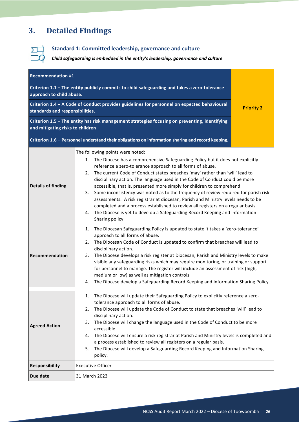# **3. Detailed Findings**



# **Standard 1: Committed leadership, governance and culture**

*Child safeguarding is embedded in the entity's leadership, governance and culture*

<span id="page-25-0"></span>

| <b>Recommendation #1</b>                                                                                                                                                                                                                                                                                                                                                                                                                                                                                                                                                                                                                                                        |                                                                                                                                                                                                                                                                                                                                                                                                                                                                                                                                                                                                                                                                                                            |  |  |  |  |
|---------------------------------------------------------------------------------------------------------------------------------------------------------------------------------------------------------------------------------------------------------------------------------------------------------------------------------------------------------------------------------------------------------------------------------------------------------------------------------------------------------------------------------------------------------------------------------------------------------------------------------------------------------------------------------|------------------------------------------------------------------------------------------------------------------------------------------------------------------------------------------------------------------------------------------------------------------------------------------------------------------------------------------------------------------------------------------------------------------------------------------------------------------------------------------------------------------------------------------------------------------------------------------------------------------------------------------------------------------------------------------------------------|--|--|--|--|
| Criterion 1.1 - The entity publicly commits to child safeguarding and takes a zero-tolerance<br>approach to child abuse.                                                                                                                                                                                                                                                                                                                                                                                                                                                                                                                                                        |                                                                                                                                                                                                                                                                                                                                                                                                                                                                                                                                                                                                                                                                                                            |  |  |  |  |
| Criterion 1.4 - A Code of Conduct provides guidelines for personnel on expected behavioural<br>standards and responsibilities.                                                                                                                                                                                                                                                                                                                                                                                                                                                                                                                                                  | <b>Priority 2</b>                                                                                                                                                                                                                                                                                                                                                                                                                                                                                                                                                                                                                                                                                          |  |  |  |  |
|                                                                                                                                                                                                                                                                                                                                                                                                                                                                                                                                                                                                                                                                                 | Criterion 1.5 - The entity has risk management strategies focusing on preventing, identifying<br>and mitigating risks to children                                                                                                                                                                                                                                                                                                                                                                                                                                                                                                                                                                          |  |  |  |  |
|                                                                                                                                                                                                                                                                                                                                                                                                                                                                                                                                                                                                                                                                                 | Criterion 1.6 - Personnel understand their obligations on information sharing and record keeping.                                                                                                                                                                                                                                                                                                                                                                                                                                                                                                                                                                                                          |  |  |  |  |
| <b>Details of finding</b>                                                                                                                                                                                                                                                                                                                                                                                                                                                                                                                                                                                                                                                       | The following points were noted:<br>The Diocese has a comprehensive Safeguarding Policy but it does not explicitly<br>1.<br>reference a zero-tolerance approach to all forms of abuse.<br>The current Code of Conduct states breaches 'may' rather than 'will' lead to<br>2.<br>disciplinary action. The language used in the Code of Conduct could be more<br>accessible, that is, presented more simply for children to comprehend.<br>Some inconsistency was noted as to the frequency of review required for parish risk<br>3.<br>assessments. A risk registrar at diocesan, Parish and Ministry levels needs to be<br>completed and a process established to review all registers on a regular basis. |  |  |  |  |
|                                                                                                                                                                                                                                                                                                                                                                                                                                                                                                                                                                                                                                                                                 | The Diocese is yet to develop a Safeguarding Record Keeping and Information<br>4.<br>Sharing policy.                                                                                                                                                                                                                                                                                                                                                                                                                                                                                                                                                                                                       |  |  |  |  |
| The Diocesan Safeguarding Policy is updated to state it takes a 'zero-tolerance'<br>1.<br>approach to all forms of abuse.<br>The Diocesan Code of Conduct is updated to confirm that breaches will lead to<br>2.<br>disciplinary action.<br>Recommendation<br>The Diocese develops a risk register at Diocesan, Parish and Ministry levels to make<br>3.<br>visible any safeguarding risks which may require monitoring, or training or support<br>for personnel to manage. The register will include an assessment of risk (high,<br>medium or low) as well as mitigation controls.<br>The Diocese develop a Safeguarding Record Keeping and Information Sharing Policy.<br>4. |                                                                                                                                                                                                                                                                                                                                                                                                                                                                                                                                                                                                                                                                                                            |  |  |  |  |
| <b>Agreed Action</b>                                                                                                                                                                                                                                                                                                                                                                                                                                                                                                                                                                                                                                                            | The Diocese will update their Safeguarding Policy to explicitly reference a zero-<br>1.<br>tolerance approach to all forms of abuse.<br>The Diocese will update the Code of Conduct to state that breaches 'will' lead to<br>2.<br>disciplinary action.<br>The Diocese will change the language used in the Code of Conduct to be more<br>3.<br>accessible.<br>The Diocese will ensure a risk registrar at Parish and Ministry levels is completed and<br>4.<br>a process established to review all registers on a regular basis.<br>The Diocese will develop a Safeguarding Record Keeping and Information Sharing<br>5.<br>policy.                                                                       |  |  |  |  |
| Responsibility                                                                                                                                                                                                                                                                                                                                                                                                                                                                                                                                                                                                                                                                  | <b>Executive Officer</b>                                                                                                                                                                                                                                                                                                                                                                                                                                                                                                                                                                                                                                                                                   |  |  |  |  |
| Due date                                                                                                                                                                                                                                                                                                                                                                                                                                                                                                                                                                                                                                                                        | 31 March 2023                                                                                                                                                                                                                                                                                                                                                                                                                                                                                                                                                                                                                                                                                              |  |  |  |  |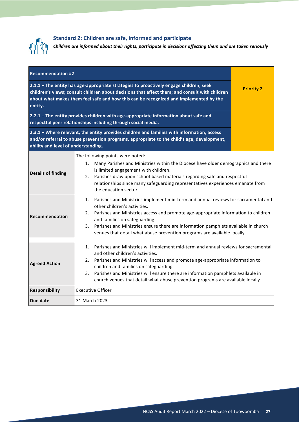

# **Standard 2: Children are safe, informed and participate**

*Children are informed about their rights, participate in decisions affecting them and are taken seriously*

<span id="page-26-0"></span>

| <b>Recommendation #2</b>                                                                                                                                                                                                                                                                     |                                                                                                                                                                                                                                                                                                                                                                                                                                                         |                   |
|----------------------------------------------------------------------------------------------------------------------------------------------------------------------------------------------------------------------------------------------------------------------------------------------|---------------------------------------------------------------------------------------------------------------------------------------------------------------------------------------------------------------------------------------------------------------------------------------------------------------------------------------------------------------------------------------------------------------------------------------------------------|-------------------|
| 2.1.1 - The entity has age-appropriate strategies to proactively engage children; seek<br>children's views; consult children about decisions that affect them; and consult with children<br>about what makes them feel safe and how this can be recognized and implemented by the<br>entity. |                                                                                                                                                                                                                                                                                                                                                                                                                                                         | <b>Priority 2</b> |
| 2.2.1 - The entity provides children with age-appropriate information about safe and<br>respectful peer relationships including through social media.                                                                                                                                        |                                                                                                                                                                                                                                                                                                                                                                                                                                                         |                   |
| 2.3.1 - Where relevant, the entity provides children and families with information, access<br>and/or referral to abuse prevention programs, appropriate to the child's age, development,<br>ability and level of understanding.                                                              |                                                                                                                                                                                                                                                                                                                                                                                                                                                         |                   |
| <b>Details of finding</b>                                                                                                                                                                                                                                                                    | The following points were noted:<br>Many Parishes and Ministries within the Diocese have older demographics and there<br>1.<br>is limited engagement with children.<br>Parishes draw upon school-based materials regarding safe and respectful<br>2.<br>relationships since many safeguarding representatives experiences emanate from<br>the education sector.                                                                                         |                   |
| Recommendation                                                                                                                                                                                                                                                                               | 1. Parishes and Ministries implement mid-term and annual reviews for sacramental and<br>other children's activities.<br>Parishes and Ministries access and promote age-appropriate information to children<br>2.<br>and families on safeguarding.<br>Parishes and Ministries ensure there are information pamphlets available in church<br>3.<br>venues that detail what abuse prevention programs are available locally.                               |                   |
| <b>Agreed Action</b>                                                                                                                                                                                                                                                                         | Parishes and Ministries will implement mid-term and annual reviews for sacramental<br>1.<br>and other children's activities.<br>Parishes and Ministries will access and promote age-appropriate information to<br>2.<br>children and families on safeguarding.<br>Parishes and Ministries will ensure there are information pamphlets available in<br>3 <sub>1</sub><br>church venues that detail what abuse prevention programs are available locally. |                   |
| Responsibility                                                                                                                                                                                                                                                                               | <b>Executive Officer</b>                                                                                                                                                                                                                                                                                                                                                                                                                                |                   |
| Due date                                                                                                                                                                                                                                                                                     | 31 March 2023                                                                                                                                                                                                                                                                                                                                                                                                                                           |                   |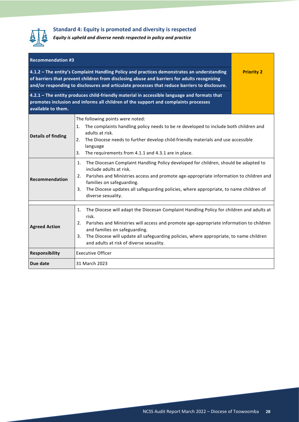

### **Standard 4: Equity is promoted and diversity is respected**

*Equity is upheld and diverse needs respected in policy and practice*

<span id="page-27-0"></span>

| <b>Recommendation #3</b>                                                                                                                                                                                                                                                                   |                                                                                                                                                                                                                                                                                                                                                                                       |  |  |
|--------------------------------------------------------------------------------------------------------------------------------------------------------------------------------------------------------------------------------------------------------------------------------------------|---------------------------------------------------------------------------------------------------------------------------------------------------------------------------------------------------------------------------------------------------------------------------------------------------------------------------------------------------------------------------------------|--|--|
| 4.1.2 - The entity's Complaint Handling Policy and practices demonstrates an understanding<br>of barriers that prevent children from disclosing abuse and barriers for adults recognizing<br>and/or responding to disclosures and articulate processes that reduce barriers to disclosure. | <b>Priority 2</b>                                                                                                                                                                                                                                                                                                                                                                     |  |  |
| 4.2.1 - The entity produces child-friendly material in accessible language and formats that<br>promotes inclusion and informs all children of the support and complaints processes<br>available to them.                                                                                   |                                                                                                                                                                                                                                                                                                                                                                                       |  |  |
| <b>Details of finding</b>                                                                                                                                                                                                                                                                  | The following points were noted:<br>The complaints handling policy needs to be re developed to include both children and<br>1.<br>adults at risk.<br>The Diocese needs to further develop child-friendly materials and use accessible<br>2.<br>language<br>The requirements from 4.1.1 and 4.3.1 are in place.<br>3.                                                                  |  |  |
| Recommendation                                                                                                                                                                                                                                                                             | The Diocesan Complaint Handling Policy developed for children, should be adapted to<br>1.<br>include adults at risk.<br>Parishes and Ministries access and promote age-appropriate information to children and<br>2.<br>families on safeguarding.<br>The Diocese updates all safeguarding policies, where appropriate, to name children of<br>3.<br>diverse sexuality.                |  |  |
| <b>Agreed Action</b>                                                                                                                                                                                                                                                                       | The Diocese will adapt the Diocesan Complaint Handling Policy for children and adults at<br>1.<br>risk.<br>Parishes and Ministries will access and promote age-appropriate information to children<br>2.<br>and families on safeguarding.<br>The Diocese will update all safeguarding policies, where appropriate, to name children<br>3.<br>and adults at risk of diverse sexuality. |  |  |
| <b>Responsibility</b>                                                                                                                                                                                                                                                                      | <b>Executive Officer</b>                                                                                                                                                                                                                                                                                                                                                              |  |  |
| Due date                                                                                                                                                                                                                                                                                   | 31 March 2023                                                                                                                                                                                                                                                                                                                                                                         |  |  |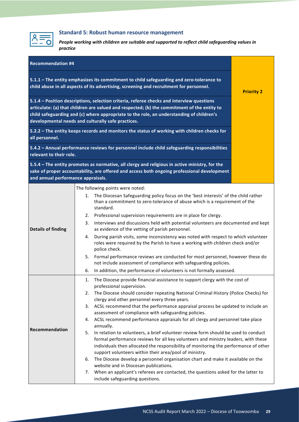

# **Standard 5: Robust human resource management**

*People working with children are suitable and supported to reflect child safeguarding values in practice*

<span id="page-28-0"></span>

| <b>Recommendation #4</b>                                                                                                                                                                                                                                                                                                                   |                                                                                                                                                                                                                                                                                                                                  |                                                                                                                                                                                               |                   |  |
|--------------------------------------------------------------------------------------------------------------------------------------------------------------------------------------------------------------------------------------------------------------------------------------------------------------------------------------------|----------------------------------------------------------------------------------------------------------------------------------------------------------------------------------------------------------------------------------------------------------------------------------------------------------------------------------|-----------------------------------------------------------------------------------------------------------------------------------------------------------------------------------------------|-------------------|--|
| 5.1.1 - The entity emphasizes its commitment to child safeguarding and zero-tolerance to<br>child abuse in all aspects of its advertising, screening and recruitment for personnel.                                                                                                                                                        |                                                                                                                                                                                                                                                                                                                                  |                                                                                                                                                                                               | <b>Priority 2</b> |  |
| 5.1.4 - Position descriptions, selection criteria, referee checks and interview questions<br>articulate: (a) that children are valued and respected; (b) the commitment of the entity to<br>child safeguarding and (c) where appropriate to the role, an understanding of children's<br>developmental needs and culturally safe practices. |                                                                                                                                                                                                                                                                                                                                  |                                                                                                                                                                                               |                   |  |
| 5.2.2 - The entity keeps records and monitors the status of working with children checks for<br>all personnel.                                                                                                                                                                                                                             |                                                                                                                                                                                                                                                                                                                                  |                                                                                                                                                                                               |                   |  |
| relevant to their role.                                                                                                                                                                                                                                                                                                                    |                                                                                                                                                                                                                                                                                                                                  | 5.4.2 - Annual performance reviews for personnel include child safeguarding responsibilities                                                                                                  |                   |  |
| and annual performance appraisals.                                                                                                                                                                                                                                                                                                         |                                                                                                                                                                                                                                                                                                                                  | 5.5.4 - The entity promotes as normative, all clergy and religious in active ministry, for the<br>sake of proper accountability, are offered and access both ongoing professional development |                   |  |
|                                                                                                                                                                                                                                                                                                                                            |                                                                                                                                                                                                                                                                                                                                  | The following points were noted:                                                                                                                                                              |                   |  |
|                                                                                                                                                                                                                                                                                                                                            |                                                                                                                                                                                                                                                                                                                                  | 1. The Diocesan Safeguarding policy focus on the 'best interests' of the child rather<br>than a commitment to zero-tolerance of abuse which is a requirement of the<br>standard.              |                   |  |
|                                                                                                                                                                                                                                                                                                                                            |                                                                                                                                                                                                                                                                                                                                  | 2. Professional supervision requirements are in place for clergy.                                                                                                                             |                   |  |
| <b>Details of finding</b>                                                                                                                                                                                                                                                                                                                  | 3.                                                                                                                                                                                                                                                                                                                               | Interviews and discussions held with potential volunteers are documented and kept<br>as evidence of the vetting of parish personnel.                                                          |                   |  |
|                                                                                                                                                                                                                                                                                                                                            | 4.                                                                                                                                                                                                                                                                                                                               | During parish visits, some inconsistency was noted with respect to which volunteer<br>roles were required by the Parish to have a working with children check and/or<br>police check.         |                   |  |
|                                                                                                                                                                                                                                                                                                                                            |                                                                                                                                                                                                                                                                                                                                  | 5. Formal performance reviews are conducted for most personnel, however these do<br>not include assessment of compliance with safeguarding policies.                                          |                   |  |
|                                                                                                                                                                                                                                                                                                                                            | 6.                                                                                                                                                                                                                                                                                                                               | In addition, the performance of volunteers is not formally assessed.                                                                                                                          |                   |  |
|                                                                                                                                                                                                                                                                                                                                            | 1.                                                                                                                                                                                                                                                                                                                               | The Diocese provide financial assistance to support clergy with the cost of<br>professional supervision.                                                                                      |                   |  |
|                                                                                                                                                                                                                                                                                                                                            | The Diocese should consider repeating National Criminal History (Police Checks) for<br>2.                                                                                                                                                                                                                                        |                                                                                                                                                                                               |                   |  |
|                                                                                                                                                                                                                                                                                                                                            |                                                                                                                                                                                                                                                                                                                                  | clergy and other personnel every three years.                                                                                                                                                 |                   |  |
|                                                                                                                                                                                                                                                                                                                                            | 3.                                                                                                                                                                                                                                                                                                                               | ACSL recommend that the performance appraisal process be updated to include an                                                                                                                |                   |  |
|                                                                                                                                                                                                                                                                                                                                            | 4.                                                                                                                                                                                                                                                                                                                               | assessment of compliance with safeguarding policies.<br>ACSL recommend performance appraisals for all clergy and personnel take place                                                         |                   |  |
| Recommendation                                                                                                                                                                                                                                                                                                                             |                                                                                                                                                                                                                                                                                                                                  | annually.                                                                                                                                                                                     |                   |  |
|                                                                                                                                                                                                                                                                                                                                            | In relation to volunteers, a brief volunteer review form should be used to conduct<br>5.<br>formal performance reviews for all key volunteers and ministry leaders, with these<br>individuals then allocated the responsibility of monitoring the performance of other<br>support volunteers within their area/pool of ministry. |                                                                                                                                                                                               |                   |  |
|                                                                                                                                                                                                                                                                                                                                            | 6.                                                                                                                                                                                                                                                                                                                               | The Diocese develop a personnel organisation chart and make it available on the                                                                                                               |                   |  |
|                                                                                                                                                                                                                                                                                                                                            |                                                                                                                                                                                                                                                                                                                                  | website and in Diocesan publications.                                                                                                                                                         |                   |  |
|                                                                                                                                                                                                                                                                                                                                            | 7.                                                                                                                                                                                                                                                                                                                               | When an applicant's referees are contacted, the questions asked for the latter to<br>include safeguarding questions.                                                                          |                   |  |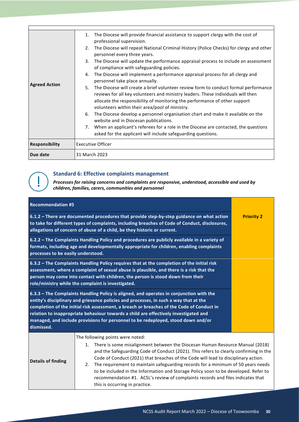|                       | The Diocese will provide financial assistance to support clergy with the cost of<br>1.<br>professional supervision.                                                                                                                                                                                           |  |
|-----------------------|---------------------------------------------------------------------------------------------------------------------------------------------------------------------------------------------------------------------------------------------------------------------------------------------------------------|--|
|                       | The Diocese will repeat National Criminal History (Police Checks) for clergy and other<br>2.<br>personnel every three years.                                                                                                                                                                                  |  |
|                       | The Diocese will update the performance appraisal process to include an assessment<br>3.<br>of compliance with safeguarding policies.                                                                                                                                                                         |  |
|                       | The Diocese will implement a performance appraisal process for all clergy and<br>4.<br>personnel take place annually.                                                                                                                                                                                         |  |
| <b>Agreed Action</b>  | The Diocese will create a brief volunteer review form to conduct formal performance<br>5.<br>reviews for all key volunteers and ministry leaders. These individuals will then<br>allocate the responsibility of monitoring the performance of other support<br>volunteers within their area/pool of ministry. |  |
|                       | The Diocese develop a personnel organisation chart and make it available on the<br>6.<br>website and in Diocesan publications.                                                                                                                                                                                |  |
|                       | When an applicant's referees for a role in the Diocese are contacted, the questions<br>7.<br>asked for the applicant will include safeguarding questions.                                                                                                                                                     |  |
| <b>Responsibility</b> | <b>Executive Officer</b>                                                                                                                                                                                                                                                                                      |  |
| Due date              | 31 March 2023                                                                                                                                                                                                                                                                                                 |  |

### **Standard 6: Effective complaints management**

*Processes for raising concerns and complaints are responsive, understood, accessible and used by children, families, carers, communities and personnel*

<span id="page-29-0"></span>

| <b>Recommendation #5</b>                                                                                                                                                                                                                                                                                                                                                                                                                                                 |                                                                                                                                                                                                                                                                                                                                                                                                                                                                                        |  |
|--------------------------------------------------------------------------------------------------------------------------------------------------------------------------------------------------------------------------------------------------------------------------------------------------------------------------------------------------------------------------------------------------------------------------------------------------------------------------|----------------------------------------------------------------------------------------------------------------------------------------------------------------------------------------------------------------------------------------------------------------------------------------------------------------------------------------------------------------------------------------------------------------------------------------------------------------------------------------|--|
| 6.1.2 - There are documented procedures that provide step-by-step guidance on what action<br>to take for different types of complaints, including breaches of Code of Conduct, disclosures,<br>allegations of concern of abuse of a child, be they historic or current.                                                                                                                                                                                                  | <b>Priority 2</b>                                                                                                                                                                                                                                                                                                                                                                                                                                                                      |  |
| 6.2.2 - The Complaints Handling Policy and procedures are publicly available in a variety of<br>formats, including age and developmentally appropriate for children, enabling complaints<br>processes to be easily understood.                                                                                                                                                                                                                                           |                                                                                                                                                                                                                                                                                                                                                                                                                                                                                        |  |
| 6.3.2 - The Complaints Handling Policy requires that at the completion of the initial risk<br>assessment, where a complaint of sexual abuse is plausible, and there is a risk that the<br>person may come into contact with children, the person is stood down from their<br>role/ministry while the complaint is investigated.                                                                                                                                          |                                                                                                                                                                                                                                                                                                                                                                                                                                                                                        |  |
| 6.3.3 - The Complaints Handling Policy is aligned, and operates in conjunction with the<br>entity's disciplinary and grievance policies and processes, in such a way that at the<br>completion of the initial risk assessment, a breach or breaches of the Code of Conduct in<br>relation to inappropriate behaviour towards a child are effectively investigated and<br>managed, and include provisions for personnel to be redeployed, stood down and/or<br>dismissed. |                                                                                                                                                                                                                                                                                                                                                                                                                                                                                        |  |
| Details of finding                                                                                                                                                                                                                                                                                                                                                                                                                                                       | The following points were noted:<br>There is some misalignment between the Diocesan Human Resource Manual (2018)<br>1.<br>and the Safeguarding Code of Conduct (2021). This refers to clearly confirming in the<br>Code of Conduct (2021) that breaches of the Code will lead to disciplinary action.<br>The requirement to maintain safeguarding records for a minimum of 50 years needs<br>2.<br>to be included in the Information and Storage Policy soon to be developed. Refer to |  |

this is occurring in practice.

recommendation #1. ACSL's review of complaints records and files indicates that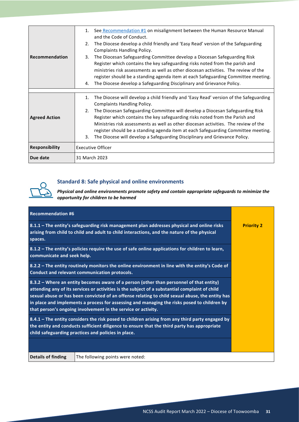| Recommendation        | 1. See Recommendation #1 on misalignment between the Human Resource Manual<br>and the Code of Conduct.<br>The Diocese develop a child friendly and 'Easy Read' version of the Safeguarding<br>2.<br><b>Complaints Handling Policy.</b><br>The Diocesan Safeguarding Committee develop a Diocesan Safeguarding Risk<br>3.<br>Register which contains the key safeguarding risks noted from the parish and<br>ministries risk assessments as well as other diocesan activities. The review of the<br>register should be a standing agenda item at each Safeguarding Committee meeting.<br>The Diocese develop a Safeguarding Disciplinary and Grievance Policy.<br>4. |  |
|-----------------------|---------------------------------------------------------------------------------------------------------------------------------------------------------------------------------------------------------------------------------------------------------------------------------------------------------------------------------------------------------------------------------------------------------------------------------------------------------------------------------------------------------------------------------------------------------------------------------------------------------------------------------------------------------------------|--|
| <b>Agreed Action</b>  | The Diocese will develop a child friendly and 'Easy Read' version of the Safeguarding<br>1.<br><b>Complaints Handling Policy.</b><br>The Diocesan Safeguarding Committee will develop a Diocesan Safeguarding Risk<br>2.<br>Register which contains the key safeguarding risks noted from the Parish and<br>Ministries risk assessments as well as other diocesan activities. The review of the<br>register should be a standing agenda item at each Safeguarding Committee meeting.<br>The Diocese will develop a Safeguarding Disciplinary and Grievance Policy.<br>3.                                                                                            |  |
| <b>Responsibility</b> | <b>Executive Officer</b>                                                                                                                                                                                                                                                                                                                                                                                                                                                                                                                                                                                                                                            |  |
| Due date              | 31 March 2023                                                                                                                                                                                                                                                                                                                                                                                                                                                                                                                                                                                                                                                       |  |



### **Standard 8: Safe physical and online environments**

*Physical and online environments promote safety and contain appropriate safeguards to minimize the opportunity for children to be harmed*

<span id="page-30-0"></span>

| <b>Recommendation #6</b>                                                                                                                                                                                                                                                                                                                                                                                                                                     |                                                                                                                                                                                           |                   |
|--------------------------------------------------------------------------------------------------------------------------------------------------------------------------------------------------------------------------------------------------------------------------------------------------------------------------------------------------------------------------------------------------------------------------------------------------------------|-------------------------------------------------------------------------------------------------------------------------------------------------------------------------------------------|-------------------|
| spaces.                                                                                                                                                                                                                                                                                                                                                                                                                                                      | 8.1.1 - The entity's safeguarding risk management plan addresses physical and online risks<br>arising from child to child and adult to child interactions, and the nature of the physical | <b>Priority 2</b> |
| communicate and seek help.                                                                                                                                                                                                                                                                                                                                                                                                                                   | 8.1.2 - The entity's policies require the use of safe online applications for children to learn,                                                                                          |                   |
| 8.2.2 - The entity routinely monitors the online environment in line with the entity's Code of<br>Conduct and relevant communication protocols.                                                                                                                                                                                                                                                                                                              |                                                                                                                                                                                           |                   |
| 8.3.2 – Where an entity becomes aware of a person (other than personnel of that entity)<br>attending any of its services or activities is the subject of a substantial complaint of child<br>sexual abuse or has been convicted of an offense relating to child sexual abuse, the entity has<br>in place and implements a process for assessing and managing the risks posed to children by<br>that person's ongoing involvement in the service or activity. |                                                                                                                                                                                           |                   |
| 8.4.1 - The entity considers the risk posed to children arising from any third party engaged by<br>the entity and conducts sufficient diligence to ensure that the third party has appropriate<br>child safeguarding practices and policies in place.                                                                                                                                                                                                        |                                                                                                                                                                                           |                   |
|                                                                                                                                                                                                                                                                                                                                                                                                                                                              |                                                                                                                                                                                           |                   |
| <b>Details of finding</b>                                                                                                                                                                                                                                                                                                                                                                                                                                    | The following points were noted:                                                                                                                                                          |                   |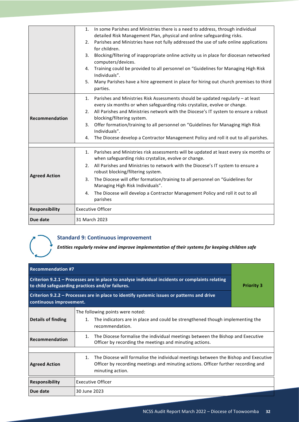|                       | 1. In some Parishes and Ministries there is a need to address, through individual<br>detailed Risk Management Plan, physical and online safeguarding risks.<br>2. Parishes and Ministries have not fully addressed the use of safe online applications<br>for children.<br>Blocking/filtering of inappropriate online activity us in place for diocesan networked<br>3.<br>computers/devices.<br>Training could be provided to all personnel on "Guidelines for Managing High Risk<br>4.<br>Individuals". |  |
|-----------------------|-----------------------------------------------------------------------------------------------------------------------------------------------------------------------------------------------------------------------------------------------------------------------------------------------------------------------------------------------------------------------------------------------------------------------------------------------------------------------------------------------------------|--|
|                       | Many Parishes have a hire agreement in place for hiring out church premises to third<br>5.<br>parties.                                                                                                                                                                                                                                                                                                                                                                                                    |  |
|                       | 1. Parishes and Ministries Risk Assessments should be updated regularly - at least<br>every six months or when safeguarding risks crystalize, evolve or change.<br>All Parishes and Ministries network with the Diocese's IT system to ensure a robust<br>2.                                                                                                                                                                                                                                              |  |
| Recommendation        | blocking/filtering system.<br>Offer formation/training to all personnel on "Guidelines for Managing High Risk<br>3.<br>Individuals".                                                                                                                                                                                                                                                                                                                                                                      |  |
|                       | The Diocese develop a Contractor Management Policy and roll it out to all parishes.<br>4.                                                                                                                                                                                                                                                                                                                                                                                                                 |  |
|                       |                                                                                                                                                                                                                                                                                                                                                                                                                                                                                                           |  |
|                       | 1. Parishes and Ministries risk assessments will be updated at least every six months or<br>when safeguarding risks crystalize, evolve or change.                                                                                                                                                                                                                                                                                                                                                         |  |
|                       | All Parishes and Ministries to network with the Diocese's IT system to ensure a<br>2.<br>robust blocking/filtering system.                                                                                                                                                                                                                                                                                                                                                                                |  |
| <b>Agreed Action</b>  | The Diocese will offer formation/training to all personnel on "Guidelines for<br>3.<br>Managing High Risk Individuals".                                                                                                                                                                                                                                                                                                                                                                                   |  |
|                       | The Diocese will develop a Contractor Management Policy and roll it out to all<br>4.<br>parishes                                                                                                                                                                                                                                                                                                                                                                                                          |  |
| <b>Responsibility</b> | <b>Executive Officer</b>                                                                                                                                                                                                                                                                                                                                                                                                                                                                                  |  |
| Due date              | 31 March 2023                                                                                                                                                                                                                                                                                                                                                                                                                                                                                             |  |

# **Standard 9: Continuous improvement**

*Entities regularly review and improve implementation of their systems for keeping children safe*

<span id="page-31-0"></span>

| <b>Recommendation #7</b>                                                                                                                            |                                                                                                                                                                                                    |  |
|-----------------------------------------------------------------------------------------------------------------------------------------------------|----------------------------------------------------------------------------------------------------------------------------------------------------------------------------------------------------|--|
| Criterion 9.2.1 - Processes are in place to analyse individual incidents or complaints relating<br>to child safeguarding practices and/or failures. | <b>Priority 3</b>                                                                                                                                                                                  |  |
| Criterion 9.2.2 - Processes are in place to identify systemic issues or patterns and drive<br>continuous improvement.                               |                                                                                                                                                                                                    |  |
| <b>Details of finding</b>                                                                                                                           | The following points were noted:<br>The indicators are in place and could be strengthened though implementing the<br>1.<br>recommendation.                                                         |  |
| Recommendation                                                                                                                                      | The Diocese formalise the individual meetings between the Bishop and Executive<br>1.<br>Officer by recording the meetings and minuting actions.                                                    |  |
|                                                                                                                                                     |                                                                                                                                                                                                    |  |
| <b>Agreed Action</b>                                                                                                                                | The Diocese will formalise the individual meetings between the Bishop and Executive<br>1.<br>Officer by recording meetings and minuting actions. Officer further recording and<br>minuting action. |  |
| <b>Responsibility</b>                                                                                                                               | <b>Executive Officer</b>                                                                                                                                                                           |  |
| Due date                                                                                                                                            | 30 June 2023                                                                                                                                                                                       |  |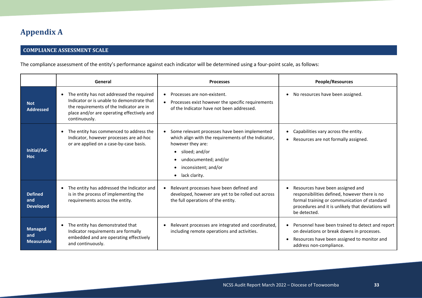# **Appendix A**

# **COMPLIANCE ASSESSMENT SCALE**

The compliance assessment of the entity's performance against each indicator will be determined using a four-point scale, as follows:

<span id="page-32-0"></span>

|                                            | General                                                                                                                                                                                                         | <b>Processes</b>                                                                                                                                                                                                          | People/Resources                                                                                                                                                                                        |
|--------------------------------------------|-----------------------------------------------------------------------------------------------------------------------------------------------------------------------------------------------------------------|---------------------------------------------------------------------------------------------------------------------------------------------------------------------------------------------------------------------------|---------------------------------------------------------------------------------------------------------------------------------------------------------------------------------------------------------|
| <b>Not</b><br><b>Addressed</b>             | The entity has not addressed the required<br>$\bullet$<br>Indicator or is unable to demonstrate that<br>the requirements of the Indicator are in<br>place and/or are operating effectively and<br>continuously. | Processes are non-existent.<br>$\bullet$<br>Processes exist however the specific requirements<br>$\bullet$<br>of the Indicator have not been addressed.                                                                   | No resources have been assigned.<br>$\bullet$                                                                                                                                                           |
| Initial/Ad-<br><b>Hoc</b>                  | The entity has commenced to address the<br>$\bullet$<br>Indicator, however processes are ad-hoc<br>or are applied on a case-by-case basis.                                                                      | Some relevant processes have been implemented<br>which align with the requirements of the Indicator,<br>however they are:<br>siloed; and/or<br>undocumented; and/or<br>inconsistent; and/or<br>lack clarity.<br>$\bullet$ | Capabilities vary across the entity.<br>$\bullet$<br>Resources are not formally assigned.<br>$\bullet$                                                                                                  |
| <b>Defined</b><br>and<br><b>Developed</b>  | The entity has addressed the Indicator and<br>$\bullet$<br>is in the process of implementing the<br>requirements across the entity.                                                                             | Relevant processes have been defined and<br>$\bullet$<br>developed, however are yet to be rolled out across<br>the full operations of the entity.                                                                         | Resources have been assigned and<br>responsibilities defined, however there is no<br>formal training or communication of standard<br>procedures and it is unlikely that deviations will<br>be detected. |
| <b>Managed</b><br>and<br><b>Measurable</b> | The entity has demonstrated that<br>$\bullet$<br>Indicator requirements are formally<br>embedded and are operating effectively<br>and continuously.                                                             | Relevant processes are integrated and coordinated,<br>including remote operations and activities.                                                                                                                         | Personnel have been trained to detect and report<br>on deviations or break downs in processes.<br>Resources have been assigned to monitor and<br>$\bullet$<br>address non-compliance.                   |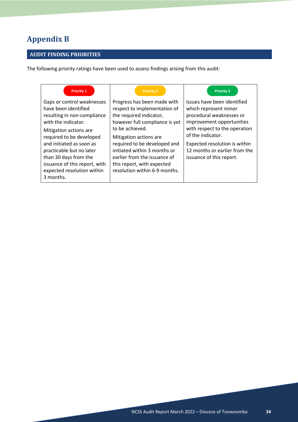# <span id="page-33-0"></span>**Appendix B**

# **AUDIT FINDING PRIORITIES**

The following priority ratings have been used to assess findings arising from this audit:

| <b>Priority 1</b>                                                                                                                                                                                                                                                                                                           | <b>Priority 2</b>                                                                                                                                                                                                                                                                                                                     | <b>Priority 3</b>                                                                                                                                                                                                                                                 |
|-----------------------------------------------------------------------------------------------------------------------------------------------------------------------------------------------------------------------------------------------------------------------------------------------------------------------------|---------------------------------------------------------------------------------------------------------------------------------------------------------------------------------------------------------------------------------------------------------------------------------------------------------------------------------------|-------------------------------------------------------------------------------------------------------------------------------------------------------------------------------------------------------------------------------------------------------------------|
| Gaps or control weaknesses<br>have been identified<br>resulting in non-compliance<br>with the indicator.<br>Mitigation actions are<br>required to be developed<br>and initiated as soon as<br>practicable but no later<br>than 30 days from the<br>issuance of this report, with<br>expected resolution within<br>3 months. | Progress has been made with<br>respect to implementation of<br>the required indicator,<br>however full compliance is yet<br>to be achieved.<br>Mitigation actions are.<br>required to be developed and<br>initiated within 3 months or<br>earlier from the issuance of<br>this report, with expected<br>resolution within 6-9 months. | Issues have been identified<br>which represent minor<br>procedural weaknesses or<br>improvement opportunities<br>with respect to the operation<br>of the indicator.<br>Expected resolution is within<br>12 months or earlier from the<br>issuance of this report. |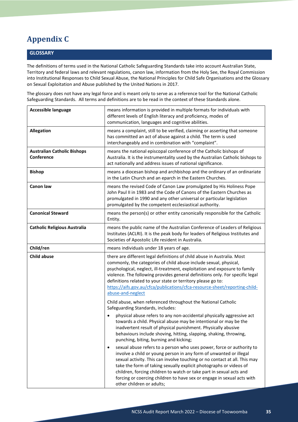# <span id="page-34-0"></span>**Appendix C**

### **GLOSSARY**

The definitions of terms used in the National Catholic Safeguarding Standards take into account Australian State, Territory and federal laws and relevant regulations, canon law, information from the Holy See, the Royal Commission into Institutional Responses to Child Sexual Abuse, the National Principles for Child Safe Organisations and the Glossary on Sexual Exploitation and Abuse published by the United Nations in 2017.

The glossary does not have any legal force and is meant only to serve as a reference tool for the National Catholic Safeguarding Standards. All terms and definitions are to be read in the context of these Standards alone.

| <b>Accessible language</b>                       | means information is provided in multiple formats for individuals with<br>different levels of English literacy and proficiency, modes of<br>communication, languages and cognitive abilities.                                                                                                                                                                                                                                                                                             |
|--------------------------------------------------|-------------------------------------------------------------------------------------------------------------------------------------------------------------------------------------------------------------------------------------------------------------------------------------------------------------------------------------------------------------------------------------------------------------------------------------------------------------------------------------------|
| <b>Allegation</b>                                | means a complaint, still to be verified, claiming or asserting that someone<br>has committed an act of abuse against a child. The term is used<br>interchangeably and in combination with "complaint".                                                                                                                                                                                                                                                                                    |
| <b>Australian Catholic Bishops</b><br>Conference | means the national episcopal conference of the Catholic bishops of<br>Australia. It is the instrumentality used by the Australian Catholic bishops to<br>act nationally and address issues of national significance.                                                                                                                                                                                                                                                                      |
| <b>Bishop</b>                                    | means a diocesan bishop and archbishop and the ordinary of an ordinariate<br>in the Latin Church and an eparch in the Eastern Churches.                                                                                                                                                                                                                                                                                                                                                   |
| <b>Canon law</b>                                 | means the revised Code of Canon Law promulgated by His Holiness Pope<br>John Paul II in 1983 and the Code of Canons of the Eastern Churches as<br>promulgated in 1990 and any other universal or particular legislation<br>promulgated by the competent ecclesiastical authority.                                                                                                                                                                                                         |
| <b>Canonical Steward</b>                         | means the person(s) or other entity canonically responsible for the Catholic<br>Entity.                                                                                                                                                                                                                                                                                                                                                                                                   |
| <b>Catholic Religious Australia</b>              | means the public name of the Australian Conference of Leaders of Religious<br>Institutes (ACLRI). It is the peak body for leaders of Religious Institutes and<br>Societies of Apostolic Life resident in Australia.                                                                                                                                                                                                                                                                       |
| Child/ren                                        | means individuals under 18 years of age.                                                                                                                                                                                                                                                                                                                                                                                                                                                  |
| <b>Child abuse</b>                               | there are different legal definitions of child abuse in Australia. Most<br>commonly, the categories of child abuse include sexual, physical,<br>psychological, neglect, ill-treatment, exploitation and exposure to family<br>violence. The following provides general definitions only. For specific legal<br>definitions related to your state or territory please go to:<br>https://aifs.gov.au/cfca/publications/cfca-resource-sheet/reporting-child-<br>abuse-and-neglect            |
|                                                  | Child abuse, when referenced throughout the National Catholic<br>Safeguarding Standards, includes:                                                                                                                                                                                                                                                                                                                                                                                        |
|                                                  | physical abuse refers to any non-accidental physically aggressive act<br>towards a child. Physical abuse may be intentional or may be the<br>inadvertent result of physical punishment. Physically abusive<br>behaviours include shoving, hitting, slapping, shaking, throwing,<br>punching, biting, burning and kicking;                                                                                                                                                                 |
|                                                  | sexual abuse refers to a person who uses power, force or authority to<br>$\bullet$<br>involve a child or young person in any form of unwanted or illegal<br>sexual activity. This can involve touching or no contact at all. This may<br>take the form of taking sexually explicit photographs or videos of<br>children, forcing children to watch or take part in sexual acts and<br>forcing or coercing children to have sex or engage in sexual acts with<br>other children or adults; |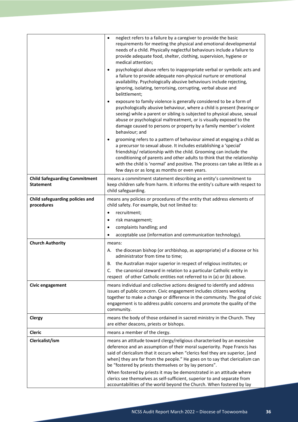|                                                          | neglect refers to a failure by a caregiver to provide the basic<br>$\bullet$<br>requirements for meeting the physical and emotional developmental<br>needs of a child. Physically neglectful behaviours include a failure to<br>provide adequate food, shelter, clothing, supervision, hygiene or<br>medical attention;<br>psychological abuse refers to inappropriate verbal or symbolic acts and<br>a failure to provide adequate non-physical nurture or emotional<br>availability. Psychologically abusive behaviours include rejecting,<br>ignoring, isolating, terrorising, corrupting, verbal abuse and<br>belittlement;<br>exposure to family violence is generally considered to be a form of<br>$\bullet$<br>psychologically abusive behaviour, where a child is present (hearing or<br>seeing) while a parent or sibling is subjected to physical abuse, sexual<br>abuse or psychological maltreatment, or is visually exposed to the<br>damage caused to persons or property by a family member's violent<br>behaviour; and<br>grooming refers to a pattern of behaviour aimed at engaging a child as<br>$\bullet$<br>a precursor to sexual abuse. It includes establishing a 'special'<br>friendship/relationship with the child. Grooming can include the<br>conditioning of parents and other adults to think that the relationship<br>with the child is 'normal' and positive. The process can take as little as a<br>few days or as long as months or even years. |
|----------------------------------------------------------|------------------------------------------------------------------------------------------------------------------------------------------------------------------------------------------------------------------------------------------------------------------------------------------------------------------------------------------------------------------------------------------------------------------------------------------------------------------------------------------------------------------------------------------------------------------------------------------------------------------------------------------------------------------------------------------------------------------------------------------------------------------------------------------------------------------------------------------------------------------------------------------------------------------------------------------------------------------------------------------------------------------------------------------------------------------------------------------------------------------------------------------------------------------------------------------------------------------------------------------------------------------------------------------------------------------------------------------------------------------------------------------------------------------------------------------------------------------------------------|
|                                                          |                                                                                                                                                                                                                                                                                                                                                                                                                                                                                                                                                                                                                                                                                                                                                                                                                                                                                                                                                                                                                                                                                                                                                                                                                                                                                                                                                                                                                                                                                    |
| <b>Child Safeguarding Commitment</b><br><b>Statement</b> | means a commitment statement describing an entity's commitment to<br>keep children safe from harm. It informs the entity's culture with respect to<br>child safeguarding.                                                                                                                                                                                                                                                                                                                                                                                                                                                                                                                                                                                                                                                                                                                                                                                                                                                                                                                                                                                                                                                                                                                                                                                                                                                                                                          |
| Child safeguarding policies and<br>procedures            | means any policies or procedures of the entity that address elements of<br>child safety. For example, but not limited to:<br>recruitment;<br>$\bullet$<br>risk management;<br>$\bullet$<br>complaints handling; and<br>$\bullet$                                                                                                                                                                                                                                                                                                                                                                                                                                                                                                                                                                                                                                                                                                                                                                                                                                                                                                                                                                                                                                                                                                                                                                                                                                                   |
|                                                          | acceptable use (information and communication technology).                                                                                                                                                                                                                                                                                                                                                                                                                                                                                                                                                                                                                                                                                                                                                                                                                                                                                                                                                                                                                                                                                                                                                                                                                                                                                                                                                                                                                         |
| <b>Church Authority</b>                                  | means:<br>A. the diocesan bishop (or archbishop, as appropriate) of a diocese or his<br>administrator from time to time;<br>B. the Australian major superior in respect of religious institutes; or<br>C. the canonical steward in relation to a particular Catholic entity in<br>respect of other Catholic entities not referred to in (a) or (b) above.                                                                                                                                                                                                                                                                                                                                                                                                                                                                                                                                                                                                                                                                                                                                                                                                                                                                                                                                                                                                                                                                                                                          |
| Civic engagement                                         | means individual and collective actions designed to identify and address<br>issues of public concern. Civic engagement includes citizens working<br>together to make a change or difference in the community. The goal of civic<br>engagement is to address public concerns and promote the quality of the<br>community.                                                                                                                                                                                                                                                                                                                                                                                                                                                                                                                                                                                                                                                                                                                                                                                                                                                                                                                                                                                                                                                                                                                                                           |
| <b>Clergy</b>                                            | means the body of those ordained in sacred ministry in the Church. They<br>are either deacons, priests or bishops.                                                                                                                                                                                                                                                                                                                                                                                                                                                                                                                                                                                                                                                                                                                                                                                                                                                                                                                                                                                                                                                                                                                                                                                                                                                                                                                                                                 |
| Cleric                                                   | means a member of the clergy.                                                                                                                                                                                                                                                                                                                                                                                                                                                                                                                                                                                                                                                                                                                                                                                                                                                                                                                                                                                                                                                                                                                                                                                                                                                                                                                                                                                                                                                      |
| Clericalist/ism                                          | means an attitude toward clergy/religious characterised by an excessive<br>deference and an assumption of their moral superiority. Pope Francis has<br>said of clericalism that it occurs when "clerics feel they are superior, [and<br>when] they are far from the people." He goes on to say that clericalism can<br>be "fostered by priests themselves or by lay persons".<br>When fostered by priests it may be demonstrated in an attitude where<br>clerics see themselves as self-sufficient, superior to and separate from                                                                                                                                                                                                                                                                                                                                                                                                                                                                                                                                                                                                                                                                                                                                                                                                                                                                                                                                                  |
|                                                          | accountabilities of the world beyond the Church. When fostered by lay                                                                                                                                                                                                                                                                                                                                                                                                                                                                                                                                                                                                                                                                                                                                                                                                                                                                                                                                                                                                                                                                                                                                                                                                                                                                                                                                                                                                              |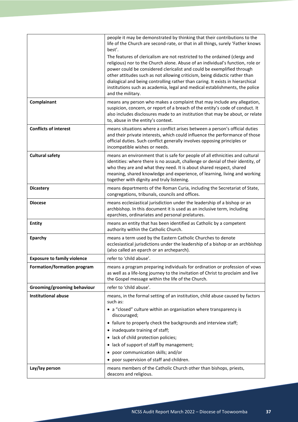|                                    | people it may be demonstrated by thinking that their contributions to the                                                                                                                                                                                                                                                                                                                                                                                                                                  |
|------------------------------------|------------------------------------------------------------------------------------------------------------------------------------------------------------------------------------------------------------------------------------------------------------------------------------------------------------------------------------------------------------------------------------------------------------------------------------------------------------------------------------------------------------|
|                                    | life of the Church are second-rate, or that in all things, surely 'Father knows<br>best'.                                                                                                                                                                                                                                                                                                                                                                                                                  |
|                                    | The features of clericalism are not restricted to the ordained (clergy and<br>religious) nor to the Church alone. Abuse of an individual's function, role or<br>power could be considered clericalist and could be exemplified through<br>other attitudes such as not allowing criticism, being didactic rather than<br>dialogical and being controlling rather than caring. It exists in hierarchical<br>institutions such as academia, legal and medical establishments, the police<br>and the military. |
| Complainant                        | means any person who makes a complaint that may include any allegation,<br>suspicion, concern, or report of a breach of the entity's code of conduct. It<br>also includes disclosures made to an institution that may be about, or relate<br>to, abuse in the entity's context.                                                                                                                                                                                                                            |
| <b>Conflicts of interest</b>       | means situations where a conflict arises between a person's official duties<br>and their private interests, which could influence the performance of those<br>official duties. Such conflict generally involves opposing principles or<br>incompatible wishes or needs.                                                                                                                                                                                                                                    |
| <b>Cultural safety</b>             | means an environment that is safe for people of all ethnicities and cultural<br>identities: where there is no assault, challenge or denial of their identity, of<br>who they are and what they need. It is about shared respect, shared<br>meaning, shared knowledge and experience, of learning, living and working<br>together with dignity and truly listening.                                                                                                                                         |
| <b>Dicastery</b>                   | means departments of the Roman Curia, including the Secretariat of State,<br>congregations, tribunals, councils and offices.                                                                                                                                                                                                                                                                                                                                                                               |
| <b>Diocese</b>                     | means ecclesiastical jurisdiction under the leadership of a bishop or an<br>archbishop. In this document it is used as an inclusive term, including<br>eparchies, ordinariates and personal prelatures.                                                                                                                                                                                                                                                                                                    |
| <b>Entity</b>                      | means an entity that has been identified as Catholic by a competent<br>authority within the Catholic Church.                                                                                                                                                                                                                                                                                                                                                                                               |
| Eparchy                            | means a term used by the Eastern Catholic Churches to denote<br>ecclesiastical jurisdictions under the leadership of a bishop or an archbishop<br>(also called an eparch or an archeparch).                                                                                                                                                                                                                                                                                                                |
| <b>Exposure to family violence</b> | refer to 'child abuse'.                                                                                                                                                                                                                                                                                                                                                                                                                                                                                    |
| Formation/formation program        | means a program preparing individuals for ordination or profession of vows<br>as well as a life-long journey to the invitation of Christ to proclaim and live<br>the Gospel message within the life of the Church.                                                                                                                                                                                                                                                                                         |
| Grooming/grooming behaviour        | refer to 'child abuse'.                                                                                                                                                                                                                                                                                                                                                                                                                                                                                    |
| <b>Institutional abuse</b>         | means, in the formal setting of an institution, child abuse caused by factors<br>such as:                                                                                                                                                                                                                                                                                                                                                                                                                  |
|                                    | • a "closed" culture within an organisation where transparency is<br>discouraged;                                                                                                                                                                                                                                                                                                                                                                                                                          |
|                                    | • failure to properly check the backgrounds and interview staff;                                                                                                                                                                                                                                                                                                                                                                                                                                           |
|                                    | • inadequate training of staff;                                                                                                                                                                                                                                                                                                                                                                                                                                                                            |
|                                    | • lack of child protection policies;                                                                                                                                                                                                                                                                                                                                                                                                                                                                       |
|                                    | lack of support of staff by management;<br>٠<br>poor communication skills; and/or                                                                                                                                                                                                                                                                                                                                                                                                                          |
|                                    | ٠<br>poor supervision of staff and children.                                                                                                                                                                                                                                                                                                                                                                                                                                                               |
| Lay/lay person                     | means members of the Catholic Church other than bishops, priests,                                                                                                                                                                                                                                                                                                                                                                                                                                          |
|                                    | deacons and religious.                                                                                                                                                                                                                                                                                                                                                                                                                                                                                     |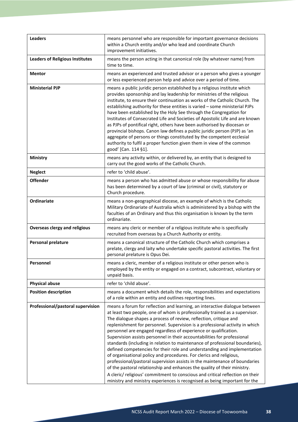| <b>Leaders</b>                         | means personnel who are responsible for important governance decisions<br>within a Church entity and/or who lead and coordinate Church<br>improvement initiatives.                                                                                                                                                                                                                                                                                                                                                                                                                                                                                                                                                                                                                                                                                                                                                                                                                                                         |
|----------------------------------------|----------------------------------------------------------------------------------------------------------------------------------------------------------------------------------------------------------------------------------------------------------------------------------------------------------------------------------------------------------------------------------------------------------------------------------------------------------------------------------------------------------------------------------------------------------------------------------------------------------------------------------------------------------------------------------------------------------------------------------------------------------------------------------------------------------------------------------------------------------------------------------------------------------------------------------------------------------------------------------------------------------------------------|
| <b>Leaders of Religious Institutes</b> | means the person acting in that canonical role (by whatever name) from<br>time to time.                                                                                                                                                                                                                                                                                                                                                                                                                                                                                                                                                                                                                                                                                                                                                                                                                                                                                                                                    |
| <b>Mentor</b>                          | means an experienced and trusted advisor or a person who gives a younger<br>or less experienced person help and advice over a period of time.                                                                                                                                                                                                                                                                                                                                                                                                                                                                                                                                                                                                                                                                                                                                                                                                                                                                              |
| <b>Ministerial PJP</b>                 | means a public juridic person established by a religious institute which<br>provides sponsorship and lay leadership for ministries of the religious<br>institute, to ensure their continuation as works of the Catholic Church. The<br>establishing authority for these entities is varied - some ministerial PJPs<br>have been established by the Holy See through the Congregation for<br>Institutes of Consecrated Life and Societies of Apostolic Life and are known<br>as PJPs of pontifical right, others have been authorised by diocesan or<br>provincial bishops. Canon law defines a public juridic person (PJP) as 'an<br>aggregate of persons or things constituted by the competent ecclesial<br>authority to fulfil a proper function given them in view of the common<br>good' [Can. 114 §1].                                                                                                                                                                                                               |
| Ministry                               | means any activity within, or delivered by, an entity that is designed to<br>carry out the good works of the Catholic Church.                                                                                                                                                                                                                                                                                                                                                                                                                                                                                                                                                                                                                                                                                                                                                                                                                                                                                              |
| <b>Neglect</b>                         | refer to 'child abuse'.                                                                                                                                                                                                                                                                                                                                                                                                                                                                                                                                                                                                                                                                                                                                                                                                                                                                                                                                                                                                    |
| <b>Offender</b>                        | means a person who has admitted abuse or whose responsibility for abuse<br>has been determined by a court of law (criminal or civil), statutory or<br>Church procedure.                                                                                                                                                                                                                                                                                                                                                                                                                                                                                                                                                                                                                                                                                                                                                                                                                                                    |
| Ordinariate                            | means a non-geographical diocese, an example of which is the Catholic<br>Military Ordinariate of Australia which is administered by a bishop with the<br>faculties of an Ordinary and thus this organisation is known by the term<br>ordinariate.                                                                                                                                                                                                                                                                                                                                                                                                                                                                                                                                                                                                                                                                                                                                                                          |
| <b>Overseas clergy and religious</b>   | means any cleric or member of a religious institute who is specifically<br>recruited from overseas by a Church Authority or entity.                                                                                                                                                                                                                                                                                                                                                                                                                                                                                                                                                                                                                                                                                                                                                                                                                                                                                        |
| <b>Personal prelature</b>              | means a canonical structure of the Catholic Church which comprises a<br>prelate, clergy and laity who undertake specific pastoral activities. The first<br>personal prelature is Opus Dei.                                                                                                                                                                                                                                                                                                                                                                                                                                                                                                                                                                                                                                                                                                                                                                                                                                 |
| Personnel                              | means a cleric, member of a religious institute or other person who is<br>employed by the entity or engaged on a contract, subcontract, voluntary or<br>unpaid basis.                                                                                                                                                                                                                                                                                                                                                                                                                                                                                                                                                                                                                                                                                                                                                                                                                                                      |
| <b>Physical abuse</b>                  | refer to 'child abuse'.                                                                                                                                                                                                                                                                                                                                                                                                                                                                                                                                                                                                                                                                                                                                                                                                                                                                                                                                                                                                    |
| <b>Position description</b>            | means a document which details the role, responsibilities and expectations<br>of a role within an entity and outlines reporting lines.                                                                                                                                                                                                                                                                                                                                                                                                                                                                                                                                                                                                                                                                                                                                                                                                                                                                                     |
| Professional/pastoral supervision      | means a forum for reflection and learning, an interactive dialogue between<br>at least two people, one of whom is professionally trained as a supervisor.<br>The dialogue shapes a process of review, reflection, critique and<br>replenishment for personnel. Supervision is a professional activity in which<br>personnel are engaged regardless of experience or qualification.<br>Supervision assists personnel in their accountabilities for professional<br>standards (including in relation to maintenance of professional boundaries),<br>defined competencies for their role and understanding and implementation<br>of organisational policy and procedures. For clerics and religious,<br>professional/pastoral supervision assists in the maintenance of boundaries<br>of the pastoral relationship and enhances the quality of their ministry.<br>A cleric/ religious' commitment to conscious and critical reflection on their<br>ministry and ministry experiences is recognised as being important for the |